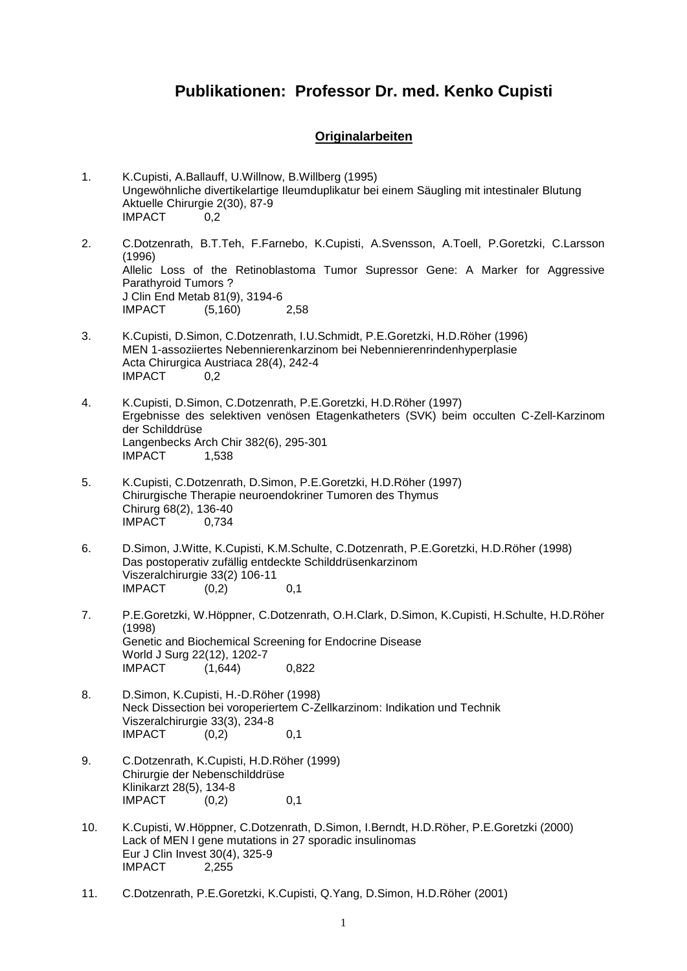# **Publikationen: Professor Dr. med. Kenko Cupisti**

#### **Originalarbeiten**

- 1. K.Cupisti, A.Ballauff, U.Willnow, B.Willberg (1995) Ungewöhnliche divertikelartige Ileumduplikatur bei einem Säugling mit intestinaler Blutung Aktuelle Chirurgie 2(30), 87-9 IMPACT 0,2
- 2. C.Dotzenrath, B.T.Teh, F.Farnebo, K.Cupisti, A.Svensson, A.Toell, P.Goretzki, C.Larsson (1996) Allelic Loss of the Retinoblastoma Tumor Supressor Gene: A Marker for Aggressive Parathyroid Tumors ? J Clin End Metab 81(9), 3194-6 IMPACT (5,160) 2,58
- 3. K.Cupisti, D.Simon, C.Dotzenrath, I.U.Schmidt, P.E.Goretzki, H.D.Röher (1996) MEN 1-assoziiertes Nebennierenkarzinom bei Nebennierenrindenhyperplasie Acta Chirurgica Austriaca 28(4), 242-4 IMPACT 0,2
- 4. K.Cupisti, D.Simon, C.Dotzenrath, P.E.Goretzki, H.D.Röher (1997) Ergebnisse des selektiven venösen Etagenkatheters (SVK) beim occulten C-Zell-Karzinom der Schilddrüse Langenbecks Arch Chir 382(6), 295-301 **IMPACT** 1,538
- 5. K.Cupisti, C.Dotzenrath, D.Simon, P.E.Goretzki, H.D.Röher (1997) Chirurgische Therapie neuroendokriner Tumoren des Thymus Chirurg 68(2), 136-40 IMPACT 0,734
- 6. D.Simon, J.Witte, K.Cupisti, K.M.Schulte, C.Dotzenrath, P.E.Goretzki, H.D.Röher (1998) Das postoperativ zufällig entdeckte Schilddrüsenkarzinom Viszeralchirurgie 33(2) 106-11  $IMPACT$   $(0.2)$  0.1
- 7. P.E.Goretzki, W.Höppner, C.Dotzenrath, O.H.Clark, D.Simon, K.Cupisti, H.Schulte, H.D.Röher (1998) Genetic and Biochemical Screening for Endocrine Disease World J Surg 22(12), 1202-7 IMPACT (1,644) 0,822
- 8. D.Simon, K.Cupisti, H.-D.Röher (1998) Neck Dissection bei voroperiertem C-Zellkarzinom: Indikation und Technik Viszeralchirurgie 33(3), 234-8 IMPACT (0,2) 0,1
- 9. C.Dotzenrath, K.Cupisti, H.D.Röher (1999) Chirurgie der Nebenschilddrüse Klinikarzt 28(5), 134-8  $IMPACT$   $(0,2)$  0,1
- 10. K.Cupisti, W.Höppner, C.Dotzenrath, D.Simon, I.Berndt, H.D.Röher, P.E.Goretzki (2000) Lack of MEN I gene mutations in 27 sporadic insulinomas Eur J Clin Invest 30(4), 325-9 IMPACT 2,255
- 11. C.Dotzenrath, P.E.Goretzki, K.Cupisti, Q.Yang, D.Simon, H.D.Röher (2001)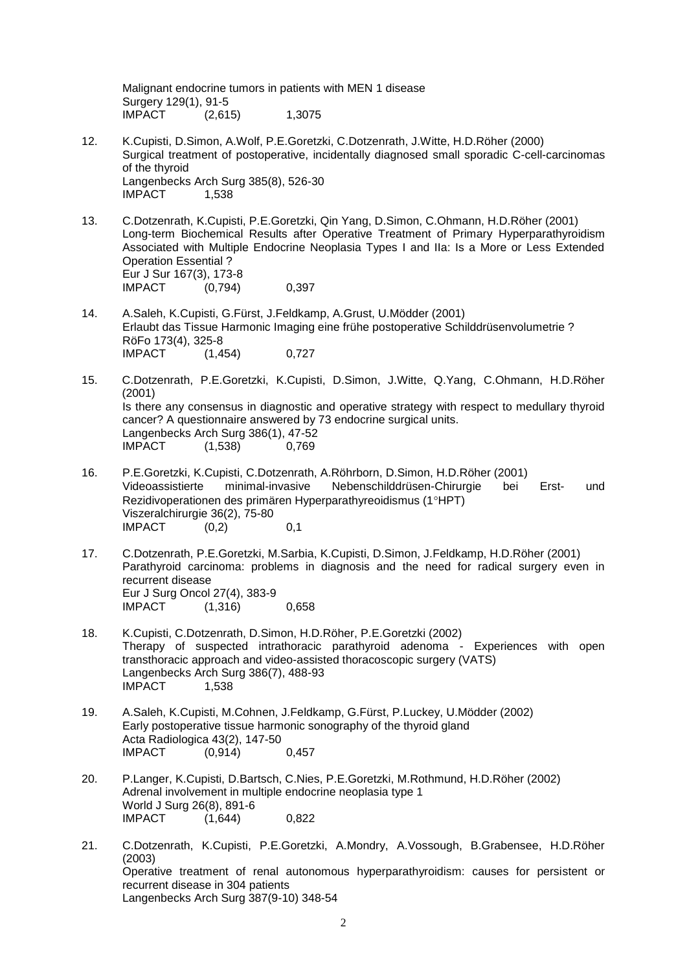Malignant endocrine tumors in patients with MEN 1 disease Surgery 129(1), 91-5 IMPACT (2,615) 1,3075

- 12. K.Cupisti, D.Simon, A.Wolf, P.E.Goretzki, C.Dotzenrath, J.Witte, H.D.Röher (2000) Surgical treatment of postoperative, incidentally diagnosed small sporadic C-cell-carcinomas of the thyroid Langenbecks Arch Surg 385(8), 526-30 **IMPACT** 1,538
- 13. C.Dotzenrath, K.Cupisti, P.E.Goretzki, Qin Yang, D.Simon, C.Ohmann, H.D.Röher (2001) Long-term Biochemical Results after Operative Treatment of Primary Hyperparathyroidism Associated with Multiple Endocrine Neoplasia Types I and IIa: Is a More or Less Extended Operation Essential ? Eur J Sur 167(3), 173-8 IMPACT (0,794) 0,397
- 14. A.Saleh, K.Cupisti, G.Fürst, J.Feldkamp, A.Grust, U.Mödder (2001) Erlaubt das Tissue Harmonic Imaging eine frühe postoperative Schilddrüsenvolumetrie ? RöFo 173(4), 325-8 IMPACT (1,454) 0,727
- 15. C.Dotzenrath, P.E.Goretzki, K.Cupisti, D.Simon, J.Witte, Q.Yang, C.Ohmann, H.D.Röher (2001) Is there any consensus in diagnostic and operative strategy with respect to medullary thyroid cancer? A questionnaire answered by 73 endocrine surgical units. Langenbecks Arch Surg 386(1), 47-52 IMPACT (1,538) 0,769
- 16. P.E.Goretzki, K.Cupisti, C.Dotzenrath, A.Röhrborn, D.Simon, H.D.Röher (2001) Videoassistierte minimal-invasive Nebenschilddrüsen-Chirurgie bei Erst- und Rezidivoperationen des primären Hyperparathyreoidismus (1°HPT) Viszeralchirurgie 36(2), 75-80  $IMPACT$   $(0,2)$  0,1
- 17. C.Dotzenrath, P.E.Goretzki, M.Sarbia, K.Cupisti, D.Simon, J.Feldkamp, H.D.Röher (2001) Parathyroid carcinoma: problems in diagnosis and the need for radical surgery even in recurrent disease Eur J Surg Oncol 27(4), 383-9 IMPACT (1,316) 0,658
- 18. K.Cupisti, C.Dotzenrath, D.Simon, H.D.Röher, P.E.Goretzki (2002) Therapy of suspected intrathoracic parathyroid adenoma - Experiences with open transthoracic approach and video-assisted thoracoscopic surgery (VATS) Langenbecks Arch Surg 386(7), 488-93 **IMPACT** 1,538
- 19. A.Saleh, K.Cupisti, M.Cohnen, J.Feldkamp, G.Fürst, P.Luckey, U.Mödder (2002) Early postoperative tissue harmonic sonography of the thyroid gland Acta Radiologica 43(2), 147-50 IMPACT (0,914) 0,457
- 20. P.Langer, K.Cupisti, D.Bartsch, C.Nies, P.E.Goretzki, M.Rothmund, H.D.Röher (2002) Adrenal involvement in multiple endocrine neoplasia type 1 World J Surg 26(8), 891-6 IMPACT (1,644) 0,822
- 21. C.Dotzenrath, K.Cupisti, P.E.Goretzki, A.Mondry, A.Vossough, B.Grabensee, H.D.Röher (2003) Operative treatment of renal autonomous hyperparathyroidism: causes for persistent or recurrent disease in 304 patients Langenbecks Arch Surg 387(9-10) 348-54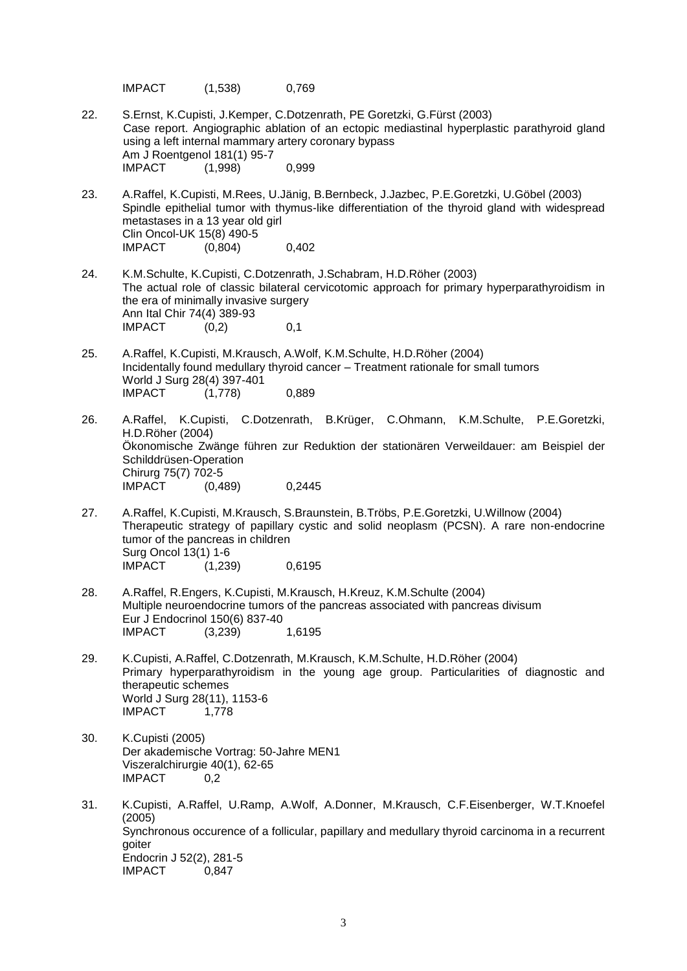IMPACT (1,538) 0,769

- 22. S.Ernst, K.Cupisti, J.Kemper, C.Dotzenrath, PE Goretzki, G.Fürst (2003) Case report. Angiographic ablation of an ectopic mediastinal hyperplastic parathyroid gland using a left internal mammary artery coronary bypass Am J Roentgenol 181(1) 95-7 IMPACT (1,998) 0,999
- 23. A.Raffel, K.Cupisti, M.Rees, U.Jänig, B.Bernbeck, J.Jazbec, P.E.Goretzki, U.Göbel (2003) Spindle epithelial tumor with thymus-like differentiation of the thyroid gland with widespread metastases in a 13 year old girl Clin Oncol-UK 15(8) 490-5<br>IMPACT (0.804) IMPACT (0,804) 0,402
- 24. K.M.Schulte, K.Cupisti, C.Dotzenrath, J.Schabram, H.D.Röher (2003) The actual role of classic bilateral cervicotomic approach for primary hyperparathyroidism in the era of minimally invasive surgery Ann Ital Chir 74(4) 389-93  $IMPACT$   $(0.2)$  0.1
- 25. A.Raffel, K.Cupisti, M.Krausch, A.Wolf, K.M.Schulte, H.D.Röher (2004) Incidentally found medullary thyroid cancer – Treatment rationale for small tumors World J Surg 28(4) 397-401 IMPACT (1,778) 0,889
- 26. A.Raffel, K.Cupisti, C.Dotzenrath, B.Krüger, C.Ohmann, K.M.Schulte, P.E.Goretzki, H.D.Röher (2004) Ökonomische Zwänge führen zur Reduktion der stationären Verweildauer: am Beispiel der Schilddrüsen-Operation Chirurg 75(7) 702-5 IMPACT (0,489) 0,2445
- 27. A.Raffel, K.Cupisti, M.Krausch, S.Braunstein, B.Tröbs, P.E.Goretzki, U.Willnow (2004) Therapeutic strategy of papillary cystic and solid neoplasm (PCSN). A rare non-endocrine tumor of the pancreas in children Surg Oncol 13(1) 1-6 IMPACT (1,239) 0,6195
- 28. A.Raffel, R.Engers, K.Cupisti, M.Krausch, H.Kreuz, K.M.Schulte (2004) Multiple neuroendocrine tumors of the pancreas associated with pancreas divisum Eur J Endocrinol 150(6) 837-40 IMPACT (3,239) 1,6195
- 29. K.Cupisti, A.Raffel, C.Dotzenrath, M.Krausch, K.M.Schulte, H.D.Röher (2004) Primary hyperparathyroidism in the young age group. Particularities of diagnostic and therapeutic schemes World J Surg 28(11), 1153-6 IMPACT 1,778
- 30. K.Cupisti (2005) Der akademische Vortrag: 50-Jahre MEN1 Viszeralchirurgie 40(1), 62-65 IMPACT 0,2
- 31. K.Cupisti, A.Raffel, U.Ramp, A.Wolf, A.Donner, M.Krausch, C.F.Eisenberger, W.T.Knoefel (2005) Synchronous occurence of a follicular, papillary and medullary thyroid carcinoma in a recurrent goiter Endocrin J 52(2), 281-5 IMPACT 0,847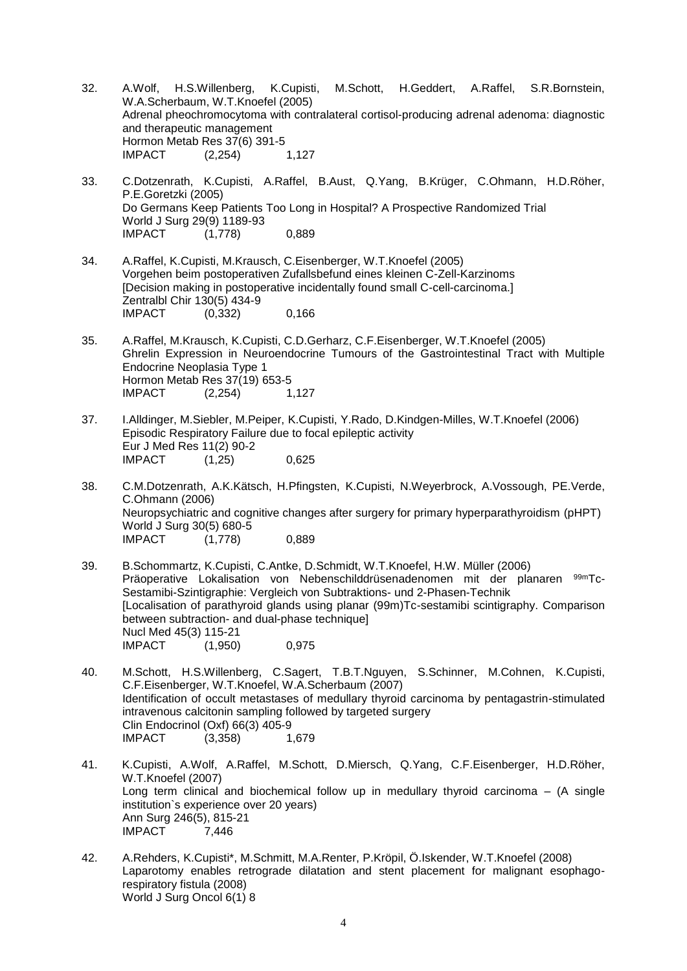- 32. A.Wolf, H.S.Willenberg, K.Cupisti, M.Schott, H.Geddert, A.Raffel, S.R.Bornstein, W.A.Scherbaum, W.T.Knoefel (2005) Adrenal pheochromocytoma with contralateral cortisol-producing adrenal adenoma: diagnostic and therapeutic management Hormon Metab Res 37(6) 391-5 IMPACT (2,254) 1,127
- 33. C.Dotzenrath, K.Cupisti, A.Raffel, B.Aust, Q.Yang, B.Krüger, C.Ohmann, H.D.Röher, P.E.Goretzki (2005) Do Germans Keep Patients Too Long in Hospital? A Prospective Randomized Trial World J Surg 29(9) 1189-93<br>IMPACT (1.778)  $(1,778)$  0,889
- 34. A.Raffel, K.Cupisti, M.Krausch, C.Eisenberger, W.T.Knoefel (2005) Vorgehen beim postoperativen Zufallsbefund eines kleinen C-Zell-Karzinoms [Decision making in postoperative incidentally found small C-cell-carcinoma.] Zentralbl Chir 130(5) 434-9 IMPACT (0,332) 0,166
- 35. A.Raffel, M.Krausch, K.Cupisti, C.D.Gerharz, C.F.Eisenberger, W.T.Knoefel (2005) Ghrelin Expression in Neuroendocrine Tumours of the Gastrointestinal Tract with Multiple Endocrine Neoplasia Type 1 Hormon Metab Res 37(19) 653-5 IMPACT (2,254) 1,127
- 37. I.Alldinger, M.Siebler, M.Peiper, K.Cupisti, Y.Rado, D.Kindgen-Milles, W.T.Knoefel (2006) Episodic Respiratory Failure due to focal epileptic activity Eur J Med Res 11(2) 90-2 IMPACT (1,25) 0,625
- 38. C.M.Dotzenrath, A.K.Kätsch, H.Pfingsten, K.Cupisti, N.Weyerbrock, A.Vossough, PE.Verde, C.Ohmann (2006) Neuropsychiatric and cognitive changes after surgery for primary hyperparathyroidism (pHPT) World J Surg 30(5) 680-5 IMPACT (1,778) 0,889
- 39. B.Schommartz, K.Cupisti, C.Antke, D.Schmidt, W.T.Knoefel, H.W. Müller (2006) Präoperative Lokalisation von Nebenschilddrüsenadenomen mit der planaren 99mTc-Sestamibi-Szintigraphie: Vergleich von Subtraktions- und 2-Phasen-Technik [Localisation of parathyroid glands using planar (99m)Tc-sestamibi scintigraphy. Comparison between subtraction- and dual-phase technique] Nucl Med 45(3) 115-21 IMPACT (1,950) 0,975
- 40. M.Schott, H.S.Willenberg, C.Sagert, T.B.T.Nguyen, S.Schinner, M.Cohnen, K.Cupisti, C.F.Eisenberger, W.T.Knoefel, W.A.Scherbaum (2007) Identification of occult metastases of medullary thyroid carcinoma by pentagastrin-stimulated intravenous calcitonin sampling followed by targeted surgery Clin Endocrinol (Oxf) 66(3) 405-9 IMPACT (3,358) 1,679
- 41. K.Cupisti, A.Wolf, A.Raffel, M.Schott, D.Miersch, Q.Yang, C.F.Eisenberger, H.D.Röher, W.T.Knoefel (2007) Long term clinical and biochemical follow up in medullary thyroid carcinoma – (A single institution`s experience over 20 years) Ann Surg 246(5), 815-21 IMPACT 7,446
- 42. A.Rehders, K.Cupisti\*, M.Schmitt, M.A.Renter, P.Kröpil, Ö.Iskender, W.T.Knoefel (2008) Laparotomy enables retrograde dilatation and stent placement for malignant esophagorespiratory fistula (2008) World J Surg Oncol 6(1) 8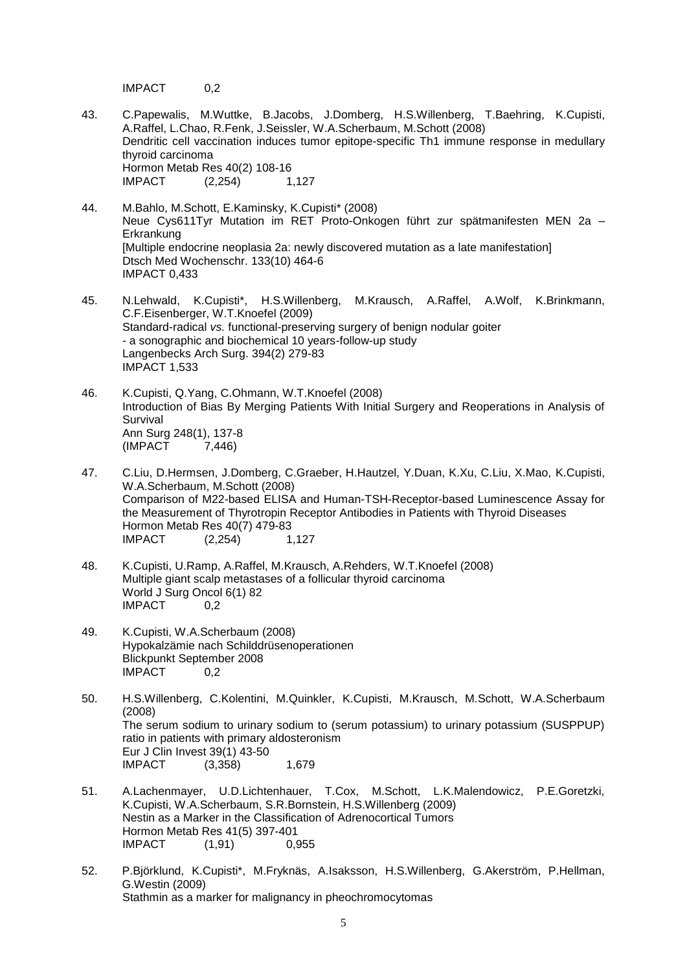IMPACT 0,2

- 43. C.Papewalis, M.Wuttke, B.Jacobs, J.Domberg, H.S.Willenberg, T.Baehring, K.Cupisti, A.Raffel, L.Chao, R.Fenk, J.Seissler, W.A.Scherbaum, M.Schott (2008) Dendritic cell vaccination induces tumor epitope-specific Th1 immune response in medullary thyroid carcinoma Hormon Metab Res 40(2) 108-16 IMPACT (2,254) 1,127
- 44. M.Bahlo, M.Schott, E.Kaminsky, K.Cupisti\* (2008) Neue Cys611Tyr Mutation im RET Proto-Onkogen führt zur spätmanifesten MEN 2a – **Erkrankung** [Multiple endocrine neoplasia 2a: newly discovered mutation as a late manifestation] Dtsch Med Wochenschr. 133(10) 464-6 IMPACT 0,433
- 45. N.Lehwald, K.Cupisti\*, H.S.Willenberg, M.Krausch, A.Raffel, A.Wolf, K.Brinkmann, C.F.Eisenberger, W.T.Knoefel (2009) Standard-radical *vs.* functional-preserving surgery of benign nodular goiter - a sonographic and biochemical 10 years-follow-up study Langenbecks Arch Surg. 394(2) 279-83 IMPACT 1,533
- 46. K.Cupisti, Q.Yang, C.Ohmann, W.T.Knoefel (2008) Introduction of Bias By Merging Patients With Initial Surgery and Reoperations in Analysis of Survival Ann Surg 248(1), 137-8 (IMPACT 7,446)
- 47. C.Liu, D.Hermsen, J.Domberg, C.Graeber, H.Hautzel, Y.Duan, K.Xu, C.Liu, X.Mao, K.Cupisti, W.A.Scherbaum, M.Schott (2008) Comparison of M22-based ELISA and Human-TSH-Receptor-based Luminescence Assay for the Measurement of Thyrotropin Receptor Antibodies in Patients with Thyroid Diseases Hormon Metab Res 40(7) 479-83<br>IMPACT (2.254) 1.  $(2,254)$  1,127
- 48. K.Cupisti, U.Ramp, A.Raffel, M.Krausch, A.Rehders, W.T.Knoefel (2008) Multiple giant scalp metastases of a follicular thyroid carcinoma World J Surg Oncol 6(1) 82 IMPACT 0,2
- 49. K.Cupisti, W.A.Scherbaum (2008) Hypokalzämie nach Schilddrüsenoperationen Blickpunkt September 2008 IMPACT 0,2
- 50. H.S.Willenberg, C.Kolentini, M.Quinkler, K.Cupisti, M.Krausch, M.Schott, W.A.Scherbaum (2008) The serum sodium to urinary sodium to (serum potassium) to urinary potassium (SUSPPUP) ratio in patients with primary aldosteronism Eur J Clin Invest 39(1) 43-50 IMPACT (3,358) 1,679
- 51. A.Lachenmayer, U.D.Lichtenhauer, T.Cox, M.Schott, L.K.Malendowicz, P.E.Goretzki, K.Cupisti, W.A.Scherbaum, S.R.Bornstein, H.S.Willenberg (2009) Nestin as a Marker in the Classification of Adrenocortical Tumors Hormon Metab Res 41(5) 397-401 IMPACT (1,91) 0,955
- 52. P.Björklund, K.Cupisti\*, M.Fryknäs, A.Isaksson, H.S.Willenberg, G.Akerström, P.Hellman, G.Westin (2009) Stathmin as a marker for malignancy in pheochromocytomas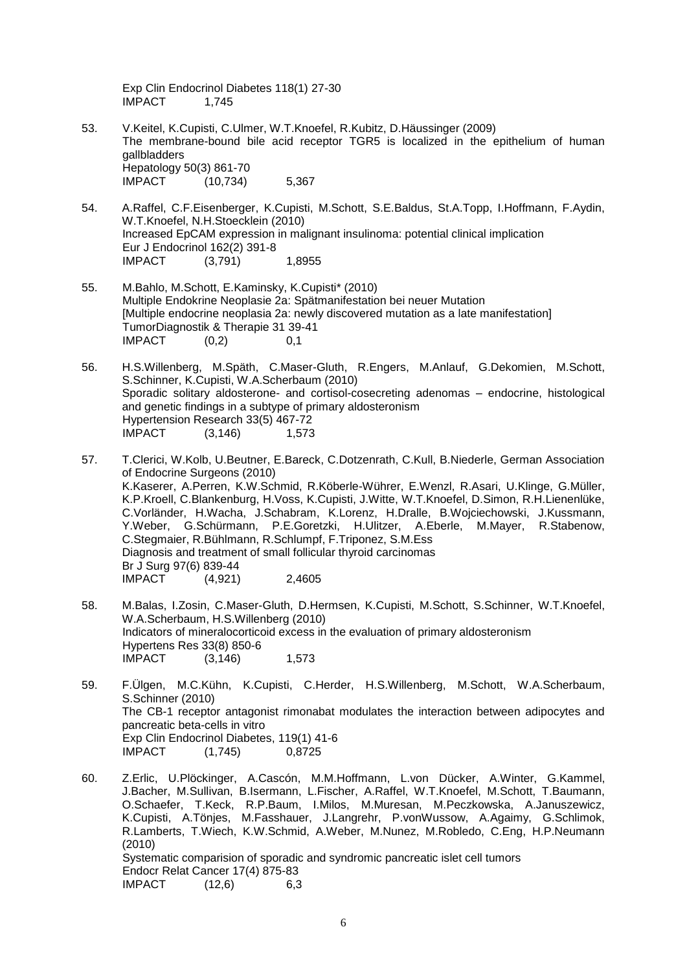Exp Clin Endocrinol Diabetes 118(1) 27-30 IMPACT 1,745

- 53. V.Keitel, K.Cupisti, C.Ulmer, W.T.Knoefel, R.Kubitz, D.Häussinger (2009) The membrane-bound bile acid receptor TGR5 is localized in the epithelium of human gallbladders Hepatology 50(3) 861-70 IMPACT (10,734) 5,367
- 54. A.Raffel, C.F.Eisenberger, K.Cupisti, M.Schott, S.E.Baldus, St.A.Topp, I.Hoffmann, F.Aydin, W.T.Knoefel, N.H.Stoecklein (2010) Increased EpCAM expression in malignant insulinoma: potential clinical implication Eur J Endocrinol 162(2) 391-8 IMPACT (3,791) 1,8955
- 55. M.Bahlo, M.Schott, E.Kaminsky, K.Cupisti\* (2010) Multiple Endokrine Neoplasie 2a: Spätmanifestation bei neuer Mutation [Multiple endocrine neoplasia 2a: newly discovered mutation as a late manifestation] TumorDiagnostik & Therapie 31 39-41 IMPACT (0,2) 0,1
- 56. H.S.Willenberg, M.Späth, C.Maser-Gluth, R.Engers, M.Anlauf, G.Dekomien, M.Schott, S.Schinner, K.Cupisti, W.A.Scherbaum (2010) Sporadic solitary aldosterone- and cortisol-cosecreting adenomas – endocrine, histological and genetic findings in a subtype of primary aldosteronism Hypertension Research 33(5) 467-72 IMPACT (3,146) 1,573
- 57. T.Clerici, W.Kolb, U.Beutner, E.Bareck, C.Dotzenrath, C.Kull, B.Niederle, German Association of Endocrine Surgeons (2010) K.Kaserer, A.Perren, K.W.Schmid, R.Köberle-Wührer, E.Wenzl, R.Asari, U.Klinge, G.Müller, K.P.Kroell, C.Blankenburg, H.Voss, K.Cupisti, J.Witte, W.T.Knoefel, D.Simon, R.H.Lienenlüke, C.Vorländer, H.Wacha, J.Schabram, K.Lorenz, H.Dralle, B.Wojciechowski, J.Kussmann, Y.Weber, G.Schürmann, P.E.Goretzki, H.Ulitzer, A.Eberle, M.Mayer, R.Stabenow, C.Stegmaier, R.Bühlmann, R.Schlumpf, F.Triponez, S.M.Ess Diagnosis and treatment of small follicular thyroid carcinomas Br J Surg 97(6) 839-44 IMPACT (4,921) 2,4605
- 58. M.Balas, I.Zosin, C.Maser-Gluth, D.Hermsen, K.Cupisti, M.Schott, S.Schinner, W.T.Knoefel, W.A.Scherbaum, H.S.Willenberg (2010) Indicators of mineralocorticoid excess in the evaluation of primary aldosteronism Hypertens Res 33(8) 850-6 IMPACT (3,146) 1,573
- 59. F.Ülgen, M.C.Kühn, K.Cupisti, C.Herder, H.S.Willenberg, M.Schott, W.A.Scherbaum, S.Schinner (2010) The CB-1 receptor antagonist rimonabat modulates the interaction between adipocytes and pancreatic beta-cells in vitro Exp Clin Endocrinol Diabetes, 119(1) 41-6<br>IMPACT (1,745) 0.8725 IMPACT (1,745) 0,8725
- 60. Z.Erlic, U.Plöckinger, A.Cascón, M.M.Hoffmann, L.von Dücker, A.Winter, G.Kammel, J.Bacher, M.Sullivan, B.Isermann, L.Fischer, A.Raffel, W.T.Knoefel, M.Schott, T.Baumann, O.Schaefer, T.Keck, R.P.Baum, I.Milos, M.Muresan, M.Peczkowska, A.Januszewicz, K.Cupisti, A.Tönjes, M.Fasshauer, J.Langrehr, P.vonWussow, A.Agaimy, G.Schlimok, R.Lamberts, T.Wiech, K.W.Schmid, A.Weber, M.Nunez, M.Robledo, C.Eng, H.P.Neumann (2010) Systematic comparision of sporadic and syndromic pancreatic islet cell tumors Endocr Relat Cancer 17(4) 875-83 IMPACT (12,6) 6,3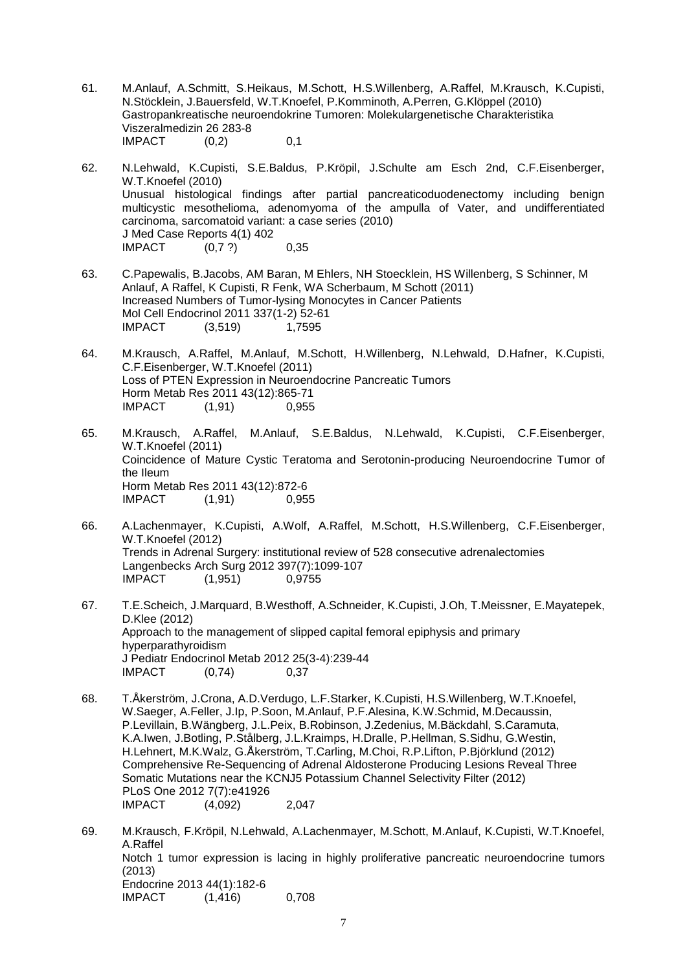- 61. M.Anlauf, A.Schmitt, S.Heikaus, M.Schott, H.S.Willenberg, A.Raffel, M.Krausch, K.Cupisti, N.Stöcklein, J.Bauersfeld, W.T.Knoefel, P.Komminoth, A.Perren, G.Klöppel (2010) Gastropankreatische neuroendokrine Tumoren: Molekulargenetische Charakteristika Viszeralmedizin 26 283-8 IMPACT (0,2) 0,1
- 62. N.Lehwald, K.Cupisti, S.E.Baldus, P.Kröpil, J.Schulte am Esch 2nd, C.F.Eisenberger, W.T.Knoefel (2010) Unusual histological findings after partial pancreaticoduodenectomy including benign multicystic mesothelioma, adenomyoma of the ampulla of Vater, and undifferentiated carcinoma, sarcomatoid variant: a case series (2010) J Med Case Reports 4(1) 402<br>IMPACT (0.7 ?)  $IMPACT$   $(0.7 ?)$  0.35
- 63. C.Papewalis, B.Jacobs, AM Baran, M Ehlers, NH Stoecklein, HS Willenberg, S Schinner, M Anlauf, A Raffel, K Cupisti, R Fenk, WA Scherbaum, M Schott (2011) Increased Numbers of Tumor-lysing Monocytes in Cancer Patients Mol Cell Endocrinol 2011 337(1-2) 52-61 IMPACT (3,519) 1,7595
- 64. M.Krausch, A.Raffel, M.Anlauf, M.Schott, H.Willenberg, N.Lehwald, D.Hafner, K.Cupisti, C.F.Eisenberger, W.T.Knoefel (2011) Loss of PTEN Expression in Neuroendocrine Pancreatic Tumors Horm Metab Res 2011 43(12):865-71 IMPACT (1,91) 0,955
- 65. M.Krausch, A.Raffel, M.Anlauf, S.E.Baldus, N.Lehwald, K.Cupisti, C.F.Eisenberger, W.T.Knoefel (2011) Coincidence of Mature Cystic Teratoma and Serotonin-producing Neuroendocrine Tumor of the Ileum Horm Metab Res 2011 43(12):872-6 IMPACT (1,91) 0.955
- 66. A.Lachenmayer, K.Cupisti, A.Wolf, A.Raffel, M.Schott, H.S.Willenberg, C.F.Eisenberger, W.T.Knoefel (2012) Trends in Adrenal Surgery: institutional review of 528 consecutive adrenalectomies Langenbecks Arch Surg 2012 397(7):1099-107 IMPACT (1,951) 0,9755
- 67. T.E.Scheich, J.Marquard, B.Westhoff, A.Schneider, K.Cupisti, J.Oh, T.Meissner, E.Mayatepek, D.Klee (2012) Approach to the management of slipped capital femoral epiphysis and primary hyperparathyroidism J Pediatr Endocrinol Metab 2012 25(3-4):239-44 IMPACT (0,74) 0,37
- 68. T.Åkerström, J.Crona, A.D.Verdugo, L.F.Starker, K.Cupisti, H.S.Willenberg, W.T.Knoefel, W.Saeger, A.Feller, J.Ip, P.Soon, M.Anlauf, P.F.Alesina, K.W.Schmid, M.Decaussin, P.Levillain, B.Wängberg, J.L.Peix, B.Robinson, J.Zedenius, M.Bäckdahl, S.Caramuta, K.A.Iwen, J.Botling, P.Stålberg, J.L.Kraimps, H.Dralle, P.Hellman, S.Sidhu, G.Westin, H.Lehnert, M.K.Walz, G.Åkerström, T.Carling, M.Choi, R.P.Lifton, P.Björklund (2012) Comprehensive Re-Sequencing of Adrenal Aldosterone Producing Lesions Reveal Three Somatic Mutations near the KCNJ5 Potassium Channel Selectivity Filter (2012) PLoS One 2012 7(7):e41926<br>IMPACT (4,092) IMPACT (4,092) 2,047
- 69. M.Krausch, F.Kröpil, N.Lehwald, A.Lachenmayer, M.Schott, M.Anlauf, K.Cupisti, W.T.Knoefel, A.Raffel Notch 1 tumor expression is lacing in highly proliferative pancreatic neuroendocrine tumors (2013) Endocrine 2013 44(1):182-6 IMPACT (1,416) 0,708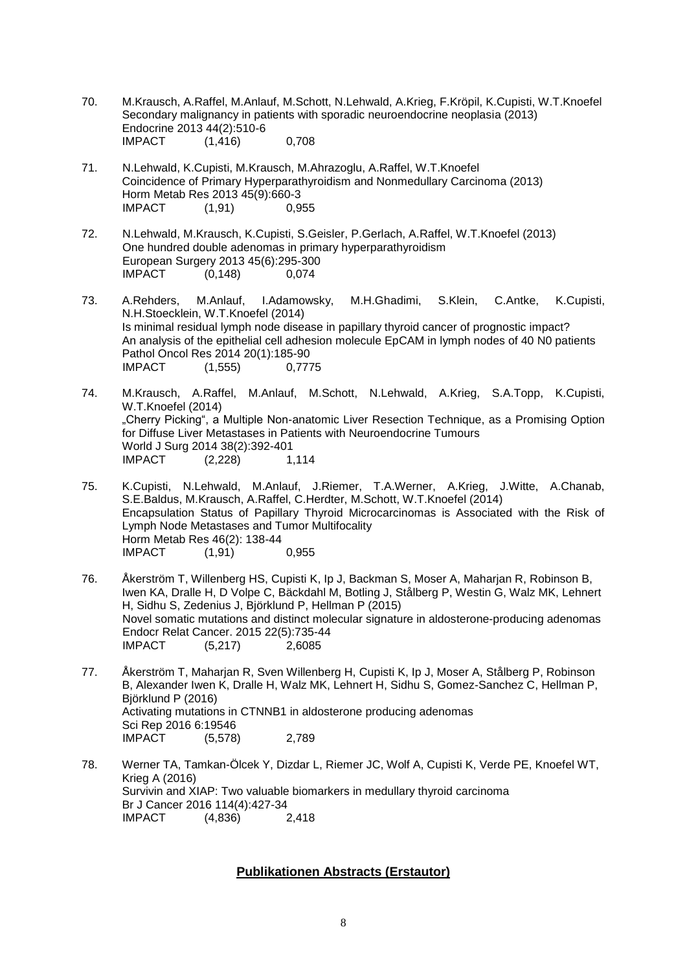- 70. M.Krausch, A.Raffel, M.Anlauf, M.Schott, N.Lehwald, A.Krieg, F.Kröpil, K.Cupisti, W.T.Knoefel Secondary malignancy in patients with sporadic neuroendocrine neoplasia (2013) Endocrine 2013 44(2):510-6 IMPACT (1,416) 0,708
- 71. N.Lehwald, K.Cupisti, M.Krausch, M.Ahrazoglu, A.Raffel, W.T.Knoefel Coincidence of Primary Hyperparathyroidism and Nonmedullary Carcinoma (2013) Horm Metab Res 2013 45(9):660-3<br>IMPACT (1.91) 0.955  $IMPACT$   $(1,91)$
- 72. N.Lehwald, M.Krausch, K.Cupisti, S.Geisler, P.Gerlach, A.Raffel, W.T.Knoefel (2013) One hundred double adenomas in primary hyperparathyroidism European Surgery 2013 45(6):295-300  $IMPACT$   $(0,148)$  0,074
- 73. A.Rehders, M.Anlauf, I.Adamowsky, M.H.Ghadimi, S.Klein, C.Antke, K.Cupisti, N.H.Stoecklein, W.T.Knoefel (2014) Is minimal residual lymph node disease in papillary thyroid cancer of prognostic impact? An analysis of the epithelial cell adhesion molecule EpCAM in lymph nodes of 40 N0 patients Pathol Oncol Res 2014 20(1):185-90 IMPACT (1,555) 0,7775
- 74. M.Krausch, A.Raffel, M.Anlauf, M.Schott, N.Lehwald, A.Krieg, S.A.Topp, K.Cupisti, W.T.Knoefel (2014) "Cherry Picking", a Multiple Non-anatomic Liver Resection Technique, as a Promising Option for Diffuse Liver Metastases in Patients with Neuroendocrine Tumours World J Surg 2014 38(2):392-401 IMPACT (2,228) 1,114
- 75. K.Cupisti, N.Lehwald, M.Anlauf, J.Riemer, T.A.Werner, A.Krieg, J.Witte, A.Chanab, S.E.Baldus, M.Krausch, A.Raffel, C.Herdter, M.Schott, W.T.Knoefel (2014) Encapsulation Status of Papillary Thyroid Microcarcinomas is Associated with the Risk of Lymph Node Metastases and Tumor Multifocality Horm Metab Res 46(2): 138-44 IMPACT (1,91) 0,955
- 76. Åkerström T, Willenberg HS, Cupisti K, Ip J, Backman S, Moser A, Maharjan R, Robinson B, Iwen KA, Dralle H, D Volpe C, Bäckdahl M, Botling J, Stålberg P, Westin G, Walz MK, Lehnert H, Sidhu S, Zedenius J, Björklund P, Hellman P (2015) Novel somatic mutations and distinct molecular signature in aldosterone-producing adenomas Endocr Relat Cancer. 2015 22(5):735-44 IMPACT (5,217) 2,6085
- 77. Åkerström T, Maharjan R, Sven Willenberg H, Cupisti K, Ip J, Moser A, Stålberg P, Robinson B, Alexander Iwen K, Dralle H, Walz MK, Lehnert H, Sidhu S, Gomez-Sanchez C, Hellman P, Björklund P (2016) Activating mutations in CTNNB1 in aldosterone producing adenomas Sci Rep 2016 6:19546 IMPACT (5,578) 2,789
- 78. Werner TA, Tamkan-Ölcek Y, Dizdar L, Riemer JC, Wolf A, Cupisti K, Verde PE, Knoefel WT, Krieg A (2016) Survivin and XIAP: Two valuable biomarkers in medullary thyroid carcinoma Br J Cancer 2016 114(4):427-34 IMPACT (4,836) 2,418

#### **Publikationen Abstracts (Erstautor)**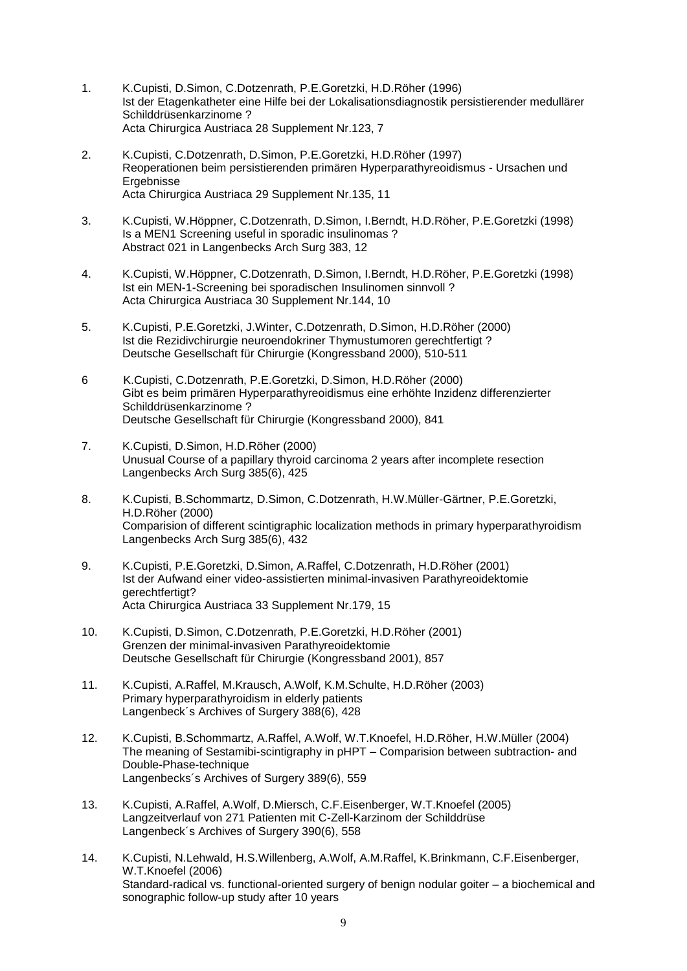- 1. K.Cupisti, D.Simon, C.Dotzenrath, P.E.Goretzki, H.D.Röher (1996) Ist der Etagenkatheter eine Hilfe bei der Lokalisationsdiagnostik persistierender medullärer Schilddrüsenkarzinome ? Acta Chirurgica Austriaca 28 Supplement Nr.123, 7
- 2. K.Cupisti, C.Dotzenrath, D.Simon, P.E.Goretzki, H.D.Röher (1997) Reoperationen beim persistierenden primären Hyperparathyreoidismus - Ursachen und Ergebnisse Acta Chirurgica Austriaca 29 Supplement Nr.135, 11
- 3. K.Cupisti, W.Höppner, C.Dotzenrath, D.Simon, I.Berndt, H.D.Röher, P.E.Goretzki (1998) Is a MEN1 Screening useful in sporadic insulinomas ? Abstract 021 in Langenbecks Arch Surg 383, 12
- 4. K.Cupisti, W.Höppner, C.Dotzenrath, D.Simon, I.Berndt, H.D.Röher, P.E.Goretzki (1998) Ist ein MEN-1-Screening bei sporadischen Insulinomen sinnvoll ? Acta Chirurgica Austriaca 30 Supplement Nr.144, 10
- 5. K.Cupisti, P.E.Goretzki, J.Winter, C.Dotzenrath, D.Simon, H.D.Röher (2000) Ist die Rezidivchirurgie neuroendokriner Thymustumoren gerechtfertigt ? Deutsche Gesellschaft für Chirurgie (Kongressband 2000), 510-511
- 6 K.Cupisti, C.Dotzenrath, P.E.Goretzki, D.Simon, H.D.Röher (2000) Gibt es beim primären Hyperparathyreoidismus eine erhöhte Inzidenz differenzierter Schilddrüsenkarzinome ? Deutsche Gesellschaft für Chirurgie (Kongressband 2000), 841
- 7. K.Cupisti, D.Simon, H.D.Röher (2000) Unusual Course of a papillary thyroid carcinoma 2 years after incomplete resection Langenbecks Arch Surg 385(6), 425
- 8. K.Cupisti, B.Schommartz, D.Simon, C.Dotzenrath, H.W.Müller-Gärtner, P.E.Goretzki, H.D.Röher (2000) Comparision of different scintigraphic localization methods in primary hyperparathyroidism Langenbecks Arch Surg 385(6), 432
- 9. K.Cupisti, P.E.Goretzki, D.Simon, A.Raffel, C.Dotzenrath, H.D.Röher (2001) Ist der Aufwand einer video-assistierten minimal-invasiven Parathyreoidektomie gerechtfertigt? Acta Chirurgica Austriaca 33 Supplement Nr.179, 15
- 10. K.Cupisti, D.Simon, C.Dotzenrath, P.E.Goretzki, H.D.Röher (2001) Grenzen der minimal-invasiven Parathyreoidektomie Deutsche Gesellschaft für Chirurgie (Kongressband 2001), 857
- 11. K.Cupisti, A.Raffel, M.Krausch, A.Wolf, K.M.Schulte, H.D.Röher (2003) Primary hyperparathyroidism in elderly patients Langenbeck´s Archives of Surgery 388(6), 428
- 12. K.Cupisti, B.Schommartz, A.Raffel, A.Wolf, W.T.Knoefel, H.D.Röher, H.W.Müller (2004) The meaning of Sestamibi-scintigraphy in pHPT – Comparision between subtraction- and Double-Phase-technique Langenbecks´s Archives of Surgery 389(6), 559
- 13. K.Cupisti, A.Raffel, A.Wolf, D.Miersch, C.F.Eisenberger, W.T.Knoefel (2005) Langzeitverlauf von 271 Patienten mit C-Zell-Karzinom der Schilddrüse Langenbeck´s Archives of Surgery 390(6), 558
- 14. K.Cupisti, N.Lehwald, H.S.Willenberg, A.Wolf, A.M.Raffel, K.Brinkmann, C.F.Eisenberger, W.T.Knoefel (2006) Standard-radical vs. functional-oriented surgery of benign nodular goiter – a biochemical and sonographic follow-up study after 10 years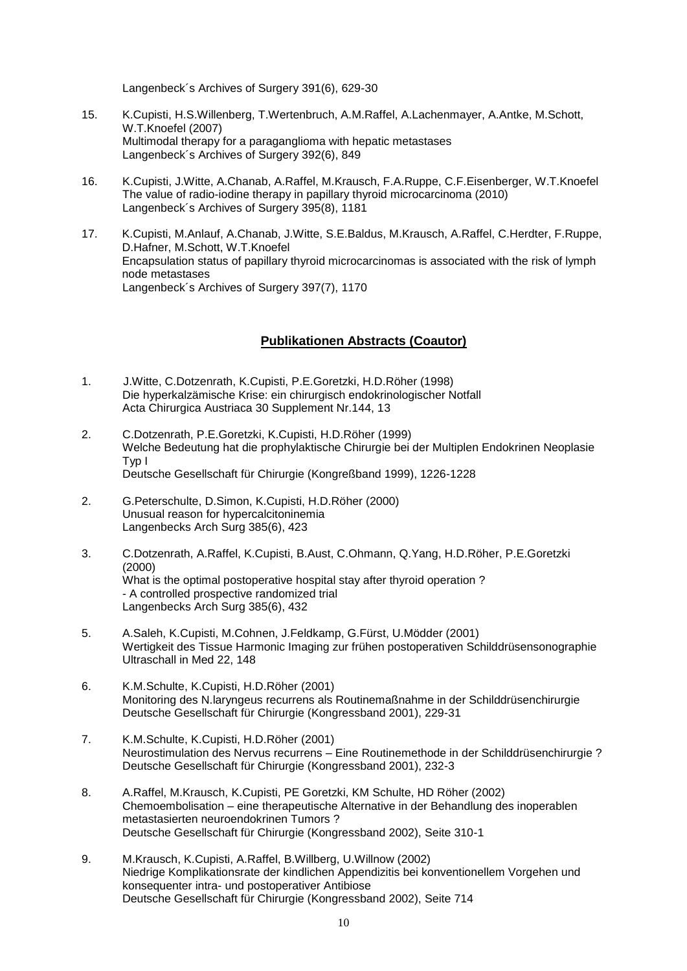Langenbeck´s Archives of Surgery 391(6), 629-30

- 15. K.Cupisti, H.S.Willenberg, T.Wertenbruch, A.M.Raffel, A.Lachenmayer, A.Antke, M.Schott, W.T.Knoefel (2007) Multimodal therapy for a paraganglioma with hepatic metastases Langenbeck´s Archives of Surgery 392(6), 849
- 16. K.Cupisti, J.Witte, A.Chanab, A.Raffel, M.Krausch, F.A.Ruppe, C.F.Eisenberger, W.T.Knoefel The value of radio-iodine therapy in papillary thyroid microcarcinoma (2010) Langenbeck´s Archives of Surgery 395(8), 1181
- 17. K.Cupisti, M.Anlauf, A.Chanab, J.Witte, S.E.Baldus, M.Krausch, A.Raffel, C.Herdter, F.Ruppe, D.Hafner, M.Schott, W.T.Knoefel Encapsulation status of papillary thyroid microcarcinomas is associated with the risk of lymph node metastases Langenbeck´s Archives of Surgery 397(7), 1170

## **Publikationen Abstracts (Coautor)**

- 1. J.Witte, C.Dotzenrath, K.Cupisti, P.E.Goretzki, H.D.Röher (1998) Die hyperkalzämische Krise: ein chirurgisch endokrinologischer Notfall Acta Chirurgica Austriaca 30 Supplement Nr.144, 13
- 2. C.Dotzenrath, P.E.Goretzki, K.Cupisti, H.D.Röher (1999) Welche Bedeutung hat die prophylaktische Chirurgie bei der Multiplen Endokrinen Neoplasie Typ I Deutsche Gesellschaft für Chirurgie (Kongreßband 1999), 1226-1228
- 2. G.Peterschulte, D.Simon, K.Cupisti, H.D.Röher (2000) Unusual reason for hypercalcitoninemia Langenbecks Arch Surg 385(6), 423
- 3. C.Dotzenrath, A.Raffel, K.Cupisti, B.Aust, C.Ohmann, Q.Yang, H.D.Röher, P.E.Goretzki (2000) What is the optimal postoperative hospital stay after thyroid operation ? - A controlled prospective randomized trial Langenbecks Arch Surg 385(6), 432
- 5. A.Saleh, K.Cupisti, M.Cohnen, J.Feldkamp, G.Fürst, U.Mödder (2001) Wertigkeit des Tissue Harmonic Imaging zur frühen postoperativen Schilddrüsensonographie Ultraschall in Med 22, 148
- 6. K.M.Schulte, K.Cupisti, H.D.Röher (2001) Monitoring des N.laryngeus recurrens als Routinemaßnahme in der Schilddrüsenchirurgie Deutsche Gesellschaft für Chirurgie (Kongressband 2001), 229-31
- 7. K.M.Schulte, K.Cupisti, H.D.Röher (2001) Neurostimulation des Nervus recurrens – Eine Routinemethode in der Schilddrüsenchirurgie ? Deutsche Gesellschaft für Chirurgie (Kongressband 2001), 232-3
- 8. A.Raffel, M.Krausch, K.Cupisti, PE Goretzki, KM Schulte, HD Röher (2002) Chemoembolisation – eine therapeutische Alternative in der Behandlung des inoperablen metastasierten neuroendokrinen Tumors ? Deutsche Gesellschaft für Chirurgie (Kongressband 2002), Seite 310-1
- 9. M.Krausch, K.Cupisti, A.Raffel, B.Willberg, U.Willnow (2002) Niedrige Komplikationsrate der kindlichen Appendizitis bei konventionellem Vorgehen und konsequenter intra- und postoperativer Antibiose Deutsche Gesellschaft für Chirurgie (Kongressband 2002), Seite 714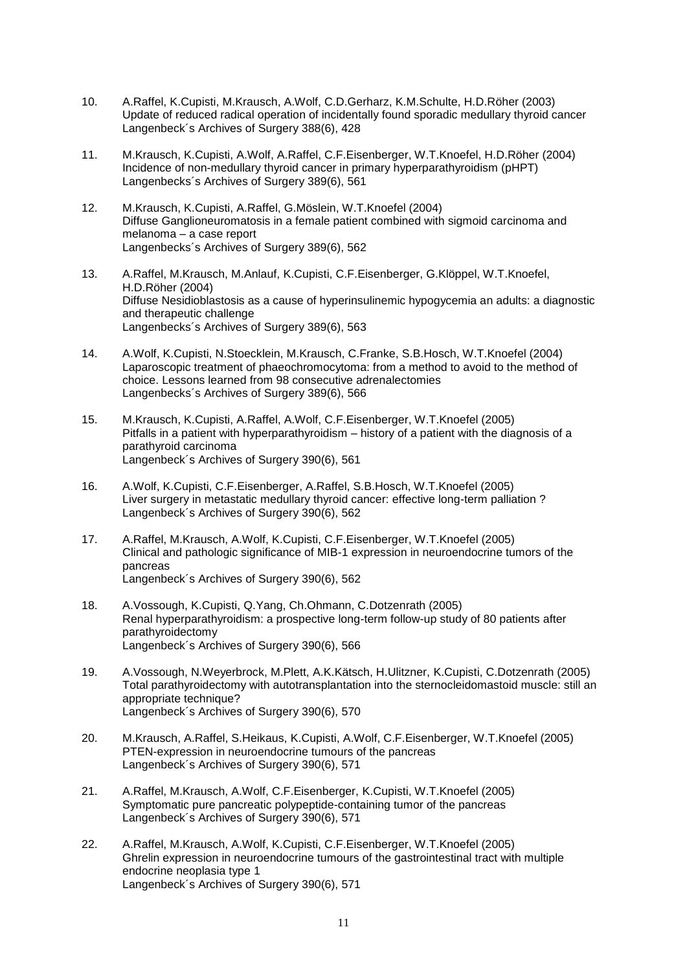- 10. A.Raffel, K.Cupisti, M.Krausch, A.Wolf, C.D.Gerharz, K.M.Schulte, H.D.Röher (2003) Update of reduced radical operation of incidentally found sporadic medullary thyroid cancer Langenbeck´s Archives of Surgery 388(6), 428
- 11. M.Krausch, K.Cupisti, A.Wolf, A.Raffel, C.F.Eisenberger, W.T.Knoefel, H.D.Röher (2004) Incidence of non-medullary thyroid cancer in primary hyperparathyroidism (pHPT) Langenbecks´s Archives of Surgery 389(6), 561
- 12. M.Krausch, K.Cupisti, A.Raffel, G.Möslein, W.T.Knoefel (2004) Diffuse Ganglioneuromatosis in a female patient combined with sigmoid carcinoma and melanoma – a case report Langenbecks´s Archives of Surgery 389(6), 562
- 13. A.Raffel, M.Krausch, M.Anlauf, K.Cupisti, C.F.Eisenberger, G.Klöppel, W.T.Knoefel, H.D.Röher (2004) Diffuse Nesidioblastosis as a cause of hyperinsulinemic hypogycemia an adults: a diagnostic and therapeutic challenge Langenbecks´s Archives of Surgery 389(6), 563
- 14. A.Wolf, K.Cupisti, N.Stoecklein, M.Krausch, C.Franke, S.B.Hosch, W.T.Knoefel (2004) Laparoscopic treatment of phaeochromocytoma: from a method to avoid to the method of choice. Lessons learned from 98 consecutive adrenalectomies Langenbecks´s Archives of Surgery 389(6), 566
- 15. M.Krausch, K.Cupisti, A.Raffel, A.Wolf, C.F.Eisenberger, W.T.Knoefel (2005) Pitfalls in a patient with hyperparathyroidism – history of a patient with the diagnosis of a parathyroid carcinoma Langenbeck´s Archives of Surgery 390(6), 561
- 16. A.Wolf, K.Cupisti, C.F.Eisenberger, A.Raffel, S.B.Hosch, W.T.Knoefel (2005) Liver surgery in metastatic medullary thyroid cancer: effective long-term palliation ? Langenbeck´s Archives of Surgery 390(6), 562
- 17. A.Raffel, M.Krausch, A.Wolf, K.Cupisti, C.F.Eisenberger, W.T.Knoefel (2005) Clinical and pathologic significance of MIB-1 expression in neuroendocrine tumors of the pancreas Langenbeck´s Archives of Surgery 390(6), 562
- 18. A.Vossough, K.Cupisti, Q.Yang, Ch.Ohmann, C.Dotzenrath (2005) Renal hyperparathyroidism: a prospective long-term follow-up study of 80 patients after parathyroidectomy Langenbeck´s Archives of Surgery 390(6), 566
- 19. A.Vossough, N.Weyerbrock, M.Plett, A.K.Kätsch, H.Ulitzner, K.Cupisti, C.Dotzenrath (2005) Total parathyroidectomy with autotransplantation into the sternocleidomastoid muscle: still an appropriate technique? Langenbeck´s Archives of Surgery 390(6), 570
- 20. M.Krausch, A.Raffel, S.Heikaus, K.Cupisti, A.Wolf, C.F.Eisenberger, W.T.Knoefel (2005) PTEN-expression in neuroendocrine tumours of the pancreas Langenbeck´s Archives of Surgery 390(6), 571
- 21. A.Raffel, M.Krausch, A.Wolf, C.F.Eisenberger, K.Cupisti, W.T.Knoefel (2005) Symptomatic pure pancreatic polypeptide-containing tumor of the pancreas Langenbeck´s Archives of Surgery 390(6), 571
- 22. A.Raffel, M.Krausch, A.Wolf, K.Cupisti, C.F.Eisenberger, W.T.Knoefel (2005) Ghrelin expression in neuroendocrine tumours of the gastrointestinal tract with multiple endocrine neoplasia type 1 Langenbeck´s Archives of Surgery 390(6), 571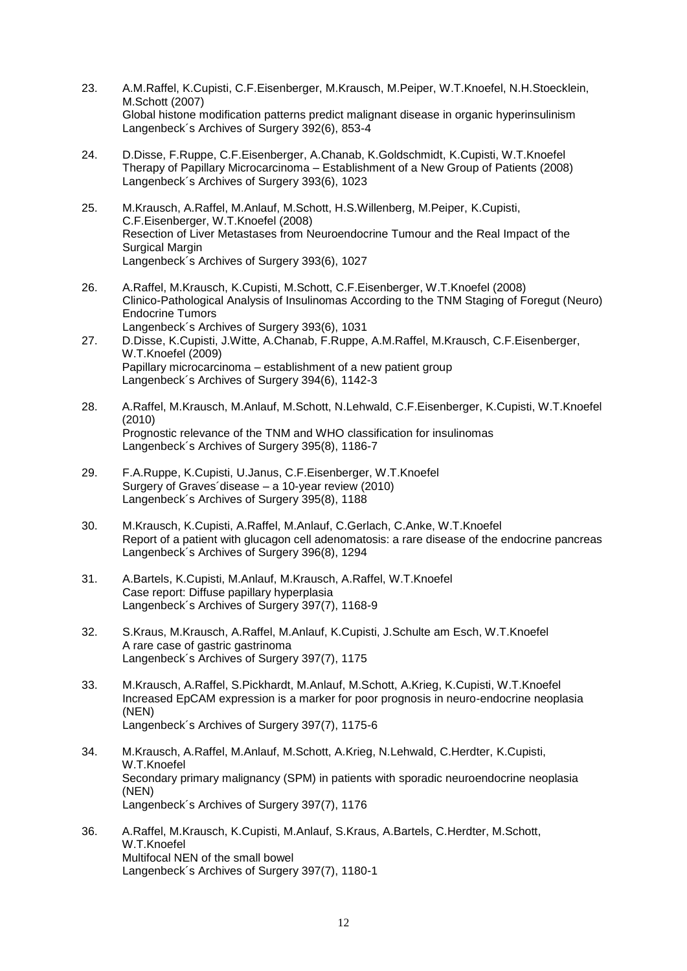- 23. A.M.Raffel, K.Cupisti, C.F.Eisenberger, M.Krausch, M.Peiper, W.T.Knoefel, N.H.Stoecklein, M.Schott (2007) Global histone modification patterns predict malignant disease in organic hyperinsulinism Langenbeck´s Archives of Surgery 392(6), 853-4
- 24. D.Disse, F.Ruppe, C.F.Eisenberger, A.Chanab, K.Goldschmidt, K.Cupisti, W.T.Knoefel Therapy of Papillary Microcarcinoma – Establishment of a New Group of Patients (2008) Langenbeck´s Archives of Surgery 393(6), 1023
- 25. M.Krausch, A.Raffel, M.Anlauf, M.Schott, H.S.Willenberg, M.Peiper, K.Cupisti, C.F.Eisenberger, W.T.Knoefel (2008) Resection of Liver Metastases from Neuroendocrine Tumour and the Real Impact of the Surgical Margin Langenbeck´s Archives of Surgery 393(6), 1027
- 26. A.Raffel, M.Krausch, K.Cupisti, M.Schott, C.F.Eisenberger, W.T.Knoefel (2008) Clinico-Pathological Analysis of Insulinomas According to the TNM Staging of Foregut (Neuro) Endocrine Tumors Langenbeck´s Archives of Surgery 393(6), 1031
- 27. D.Disse, K.Cupisti, J.Witte, A.Chanab, F.Ruppe, A.M.Raffel, M.Krausch, C.F.Eisenberger, W.T.Knoefel (2009) Papillary microcarcinoma – establishment of a new patient group Langenbeck´s Archives of Surgery 394(6), 1142-3
- 28. A.Raffel, M.Krausch, M.Anlauf, M.Schott, N.Lehwald, C.F.Eisenberger, K.Cupisti, W.T.Knoefel (2010) Prognostic relevance of the TNM and WHO classification for insulinomas Langenbeck´s Archives of Surgery 395(8), 1186-7
- 29. F.A.Ruppe, K.Cupisti, U.Janus, C.F.Eisenberger, W.T.Knoefel Surgery of Graves´disease – a 10-year review (2010) Langenbeck´s Archives of Surgery 395(8), 1188
- 30. M.Krausch, K.Cupisti, A.Raffel, M.Anlauf, C.Gerlach, C.Anke, W.T.Knoefel Report of a patient with glucagon cell adenomatosis: a rare disease of the endocrine pancreas Langenbeck´s Archives of Surgery 396(8), 1294
- 31. A.Bartels, K.Cupisti, M.Anlauf, M.Krausch, A.Raffel, W.T.Knoefel Case report: Diffuse papillary hyperplasia Langenbeck´s Archives of Surgery 397(7), 1168-9
- 32. S.Kraus, M.Krausch, A.Raffel, M.Anlauf, K.Cupisti, J.Schulte am Esch, W.T.Knoefel A rare case of gastric gastrinoma Langenbeck´s Archives of Surgery 397(7), 1175
- 33. M.Krausch, A.Raffel, S.Pickhardt, M.Anlauf, M.Schott, A.Krieg, K.Cupisti, W.T.Knoefel Increased EpCAM expression is a marker for poor prognosis in neuro-endocrine neoplasia (NEN) Langenbeck´s Archives of Surgery 397(7), 1175-6
- 34. M.Krausch, A.Raffel, M.Anlauf, M.Schott, A.Krieg, N.Lehwald, C.Herdter, K.Cupisti, W.T.Knoefel Secondary primary malignancy (SPM) in patients with sporadic neuroendocrine neoplasia (NEN) Langenbeck´s Archives of Surgery 397(7), 1176
- 36. A.Raffel, M.Krausch, K.Cupisti, M.Anlauf, S.Kraus, A.Bartels, C.Herdter, M.Schott, W.T.Knoefel Multifocal NEN of the small bowel Langenbeck´s Archives of Surgery 397(7), 1180-1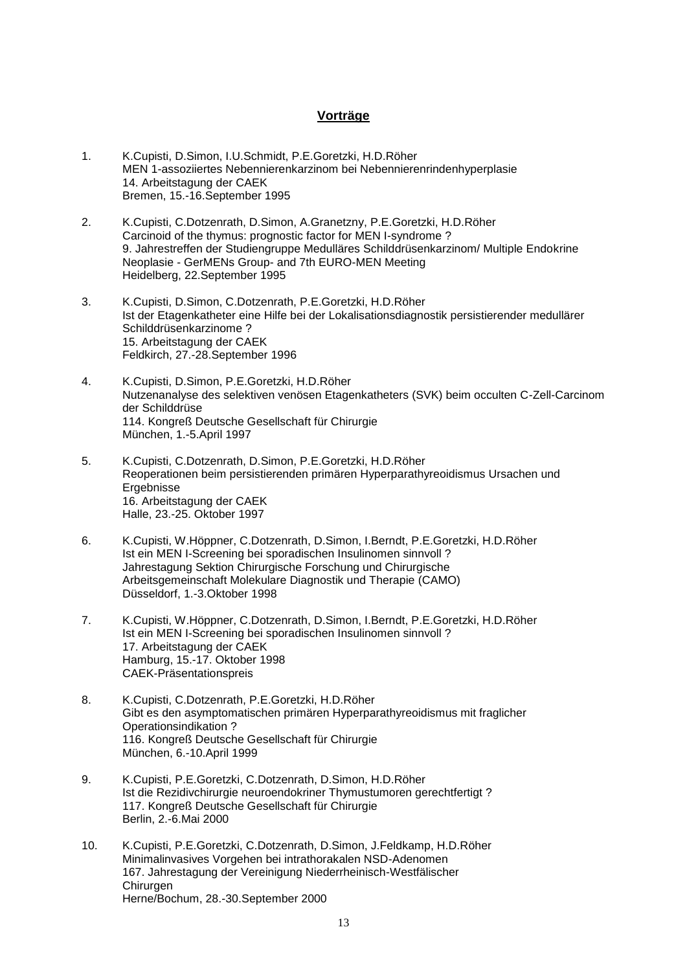#### **Vorträge**

- 1. K.Cupisti, D.Simon, I.U.Schmidt, P.E.Goretzki, H.D.Röher MEN 1-assoziiertes Nebennierenkarzinom bei Nebennierenrindenhyperplasie 14. Arbeitstagung der CAEK Bremen, 15.-16.September 1995
- 2. K.Cupisti, C.Dotzenrath, D.Simon, A.Granetzny, P.E.Goretzki, H.D.Röher Carcinoid of the thymus: prognostic factor for MEN I-syndrome ? 9. Jahrestreffen der Studiengruppe Medulläres Schilddrüsenkarzinom/ Multiple Endokrine Neoplasie - GerMENs Group- and 7th EURO-MEN Meeting Heidelberg, 22.September 1995
- 3. K.Cupisti, D.Simon, C.Dotzenrath, P.E.Goretzki, H.D.Röher Ist der Etagenkatheter eine Hilfe bei der Lokalisationsdiagnostik persistierender medullärer Schilddrüsenkarzinome ? 15. Arbeitstagung der CAEK Feldkirch, 27.-28.September 1996
- 4. K.Cupisti, D.Simon, P.E.Goretzki, H.D.Röher Nutzenanalyse des selektiven venösen Etagenkatheters (SVK) beim occulten C-Zell-Carcinom der Schilddrüse 114. Kongreß Deutsche Gesellschaft für Chirurgie München, 1.-5.April 1997
- 5. K.Cupisti, C.Dotzenrath, D.Simon, P.E.Goretzki, H.D.Röher Reoperationen beim persistierenden primären Hyperparathyreoidismus Ursachen und **Ergebnisse** 16. Arbeitstagung der CAEK Halle, 23.-25. Oktober 1997
- 6. K.Cupisti, W.Höppner, C.Dotzenrath, D.Simon, I.Berndt, P.E.Goretzki, H.D.Röher Ist ein MEN I-Screening bei sporadischen Insulinomen sinnvoll ? Jahrestagung Sektion Chirurgische Forschung und Chirurgische Arbeitsgemeinschaft Molekulare Diagnostik und Therapie (CAMO) Düsseldorf, 1.-3.Oktober 1998
- 7. K.Cupisti, W.Höppner, C.Dotzenrath, D.Simon, I.Berndt, P.E.Goretzki, H.D.Röher Ist ein MEN I-Screening bei sporadischen Insulinomen sinnvoll ? 17. Arbeitstagung der CAEK Hamburg, 15.-17. Oktober 1998 CAEK-Präsentationspreis
- 8. K.Cupisti, C.Dotzenrath, P.E.Goretzki, H.D.Röher Gibt es den asymptomatischen primären Hyperparathyreoidismus mit fraglicher Operationsindikation ? 116. Kongreß Deutsche Gesellschaft für Chirurgie München, 6.-10.April 1999
- 9. K.Cupisti, P.E.Goretzki, C.Dotzenrath, D.Simon, H.D.Röher Ist die Rezidivchirurgie neuroendokriner Thymustumoren gerechtfertigt ? 117. Kongreß Deutsche Gesellschaft für Chirurgie Berlin, 2.-6.Mai 2000
- 10. K.Cupisti, P.E.Goretzki, C.Dotzenrath, D.Simon, J.Feldkamp, H.D.Röher Minimalinvasives Vorgehen bei intrathorakalen NSD-Adenomen 167. Jahrestagung der Vereinigung Niederrheinisch-Westfälischer Chirurgen Herne/Bochum, 28.-30.September 2000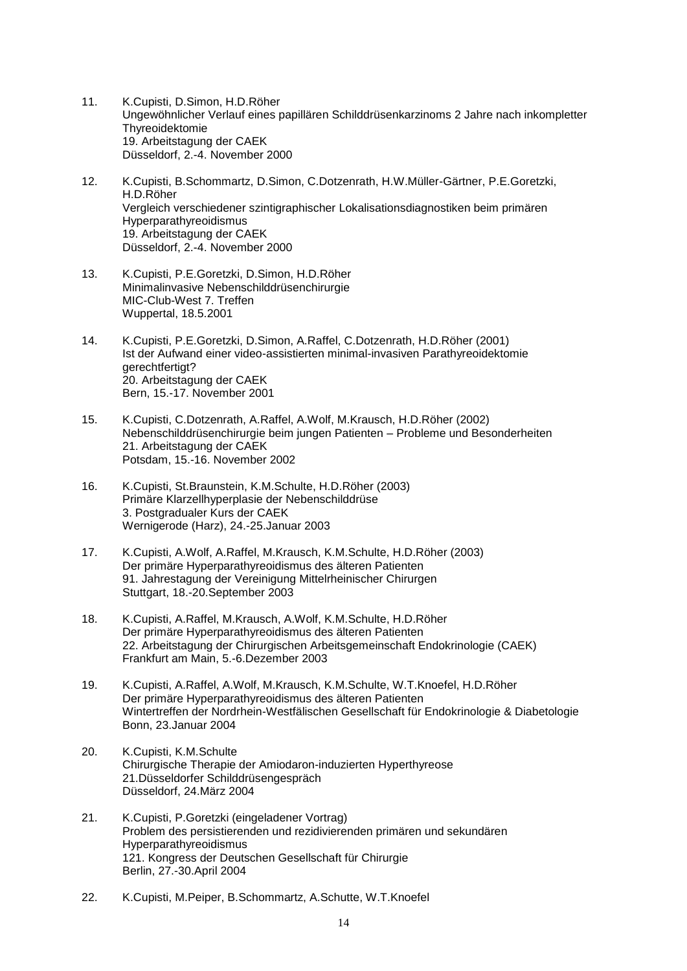- 11. K.Cupisti, D.Simon, H.D.Röher Ungewöhnlicher Verlauf eines papillären Schilddrüsenkarzinoms 2 Jahre nach inkompletter Thyreoidektomie 19. Arbeitstagung der CAEK Düsseldorf, 2.-4. November 2000
- 12. K.Cupisti, B.Schommartz, D.Simon, C.Dotzenrath, H.W.Müller-Gärtner, P.E.Goretzki, H.D.Röher Vergleich verschiedener szintigraphischer Lokalisationsdiagnostiken beim primären Hyperparathyreoidismus 19. Arbeitstagung der CAEK Düsseldorf, 2.-4. November 2000
- 13. K.Cupisti, P.E.Goretzki, D.Simon, H.D.Röher Minimalinvasive Nebenschilddrüsenchirurgie MIC-Club-West 7. Treffen Wuppertal, 18.5.2001
- 14. K.Cupisti, P.E.Goretzki, D.Simon, A.Raffel, C.Dotzenrath, H.D.Röher (2001) Ist der Aufwand einer video-assistierten minimal-invasiven Parathyreoidektomie gerechtfertigt? 20. Arbeitstagung der CAEK Bern, 15.-17. November 2001
- 15. K.Cupisti, C.Dotzenrath, A.Raffel, A.Wolf, M.Krausch, H.D.Röher (2002) Nebenschilddrüsenchirurgie beim jungen Patienten – Probleme und Besonderheiten 21. Arbeitstagung der CAEK Potsdam, 15.-16. November 2002
- 16. K.Cupisti, St.Braunstein, K.M.Schulte, H.D.Röher (2003) Primäre Klarzellhyperplasie der Nebenschilddrüse 3. Postgradualer Kurs der CAEK Wernigerode (Harz), 24.-25.Januar 2003
- 17. K.Cupisti, A.Wolf, A.Raffel, M.Krausch, K.M.Schulte, H.D.Röher (2003) Der primäre Hyperparathyreoidismus des älteren Patienten 91. Jahrestagung der Vereinigung Mittelrheinischer Chirurgen Stuttgart, 18.-20.September 2003
- 18. K.Cupisti, A.Raffel, M.Krausch, A.Wolf, K.M.Schulte, H.D.Röher Der primäre Hyperparathyreoidismus des älteren Patienten 22. Arbeitstagung der Chirurgischen Arbeitsgemeinschaft Endokrinologie (CAEK) Frankfurt am Main, 5.-6.Dezember 2003
- 19. K.Cupisti, A.Raffel, A.Wolf, M.Krausch, K.M.Schulte, W.T.Knoefel, H.D.Röher Der primäre Hyperparathyreoidismus des älteren Patienten Wintertreffen der Nordrhein-Westfälischen Gesellschaft für Endokrinologie & Diabetologie Bonn, 23.Januar 2004
- 20. K.Cupisti, K.M.Schulte Chirurgische Therapie der Amiodaron-induzierten Hyperthyreose 21.Düsseldorfer Schilddrüsengespräch Düsseldorf, 24.März 2004
- 21. K.Cupisti, P.Goretzki (eingeladener Vortrag) Problem des persistierenden und rezidivierenden primären und sekundären Hyperparathyreoidismus 121. Kongress der Deutschen Gesellschaft für Chirurgie Berlin, 27.-30.April 2004
- 22. K.Cupisti, M.Peiper, B.Schommartz, A.Schutte, W.T.Knoefel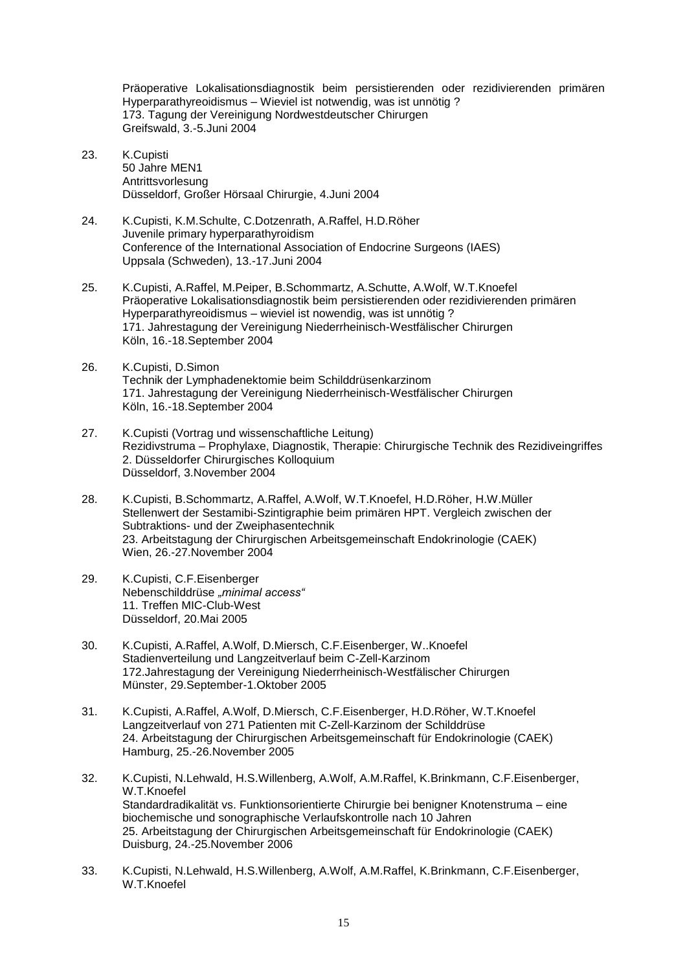Präoperative Lokalisationsdiagnostik beim persistierenden oder rezidivierenden primären Hyperparathyreoidismus – Wieviel ist notwendig, was ist unnötig ? 173. Tagung der Vereinigung Nordwestdeutscher Chirurgen Greifswald, 3.-5.Juni 2004

- 23. K.Cupisti 50 Jahre MEN1 Antrittsvorlesung Düsseldorf, Großer Hörsaal Chirurgie, 4.Juni 2004
- 24. K.Cupisti, K.M.Schulte, C.Dotzenrath, A.Raffel, H.D.Röher Juvenile primary hyperparathyroidism Conference of the International Association of Endocrine Surgeons (IAES) Uppsala (Schweden), 13.-17.Juni 2004
- 25. K.Cupisti, A.Raffel, M.Peiper, B.Schommartz, A.Schutte, A.Wolf, W.T.Knoefel Präoperative Lokalisationsdiagnostik beim persistierenden oder rezidivierenden primären Hyperparathyreoidismus – wieviel ist nowendig, was ist unnötig ? 171. Jahrestagung der Vereinigung Niederrheinisch-Westfälischer Chirurgen Köln, 16.-18.September 2004
- 26. K.Cupisti, D.Simon Technik der Lymphadenektomie beim Schilddrüsenkarzinom 171. Jahrestagung der Vereinigung Niederrheinisch-Westfälischer Chirurgen Köln, 16.-18.September 2004
- 27. K.Cupisti (Vortrag und wissenschaftliche Leitung) Rezidivstruma – Prophylaxe, Diagnostik, Therapie: Chirurgische Technik des Rezidiveingriffes 2. Düsseldorfer Chirurgisches Kolloquium Düsseldorf, 3.November 2004
- 28. K.Cupisti, B.Schommartz, A.Raffel, A.Wolf, W.T.Knoefel, H.D.Röher, H.W.Müller Stellenwert der Sestamibi-Szintigraphie beim primären HPT. Vergleich zwischen der Subtraktions- und der Zweiphasentechnik 23. Arbeitstagung der Chirurgischen Arbeitsgemeinschaft Endokrinologie (CAEK) Wien, 26.-27.November 2004
- 29. K.Cupisti, C.F.Eisenberger Nebenschilddrüse *"minimal access"* 11. Treffen MIC-Club-West Düsseldorf, 20.Mai 2005
- 30. K.Cupisti, A.Raffel, A.Wolf, D.Miersch, C.F.Eisenberger, W..Knoefel Stadienverteilung und Langzeitverlauf beim C-Zell-Karzinom 172.Jahrestagung der Vereinigung Niederrheinisch-Westfälischer Chirurgen Münster, 29.September-1.Oktober 2005
- 31. K.Cupisti, A.Raffel, A.Wolf, D.Miersch, C.F.Eisenberger, H.D.Röher, W.T.Knoefel Langzeitverlauf von 271 Patienten mit C-Zell-Karzinom der Schilddrüse 24. Arbeitstagung der Chirurgischen Arbeitsgemeinschaft für Endokrinologie (CAEK) Hamburg, 25.-26.November 2005
- 32. K.Cupisti, N.Lehwald, H.S.Willenberg, A.Wolf, A.M.Raffel, K.Brinkmann, C.F.Eisenberger, W.T.Knoefel Standardradikalität vs. Funktionsorientierte Chirurgie bei benigner Knotenstruma – eine biochemische und sonographische Verlaufskontrolle nach 10 Jahren 25. Arbeitstagung der Chirurgischen Arbeitsgemeinschaft für Endokrinologie (CAEK) Duisburg, 24.-25.November 2006
- 33. K.Cupisti, N.Lehwald, H.S.Willenberg, A.Wolf, A.M.Raffel, K.Brinkmann, C.F.Eisenberger, W.T.Knoefel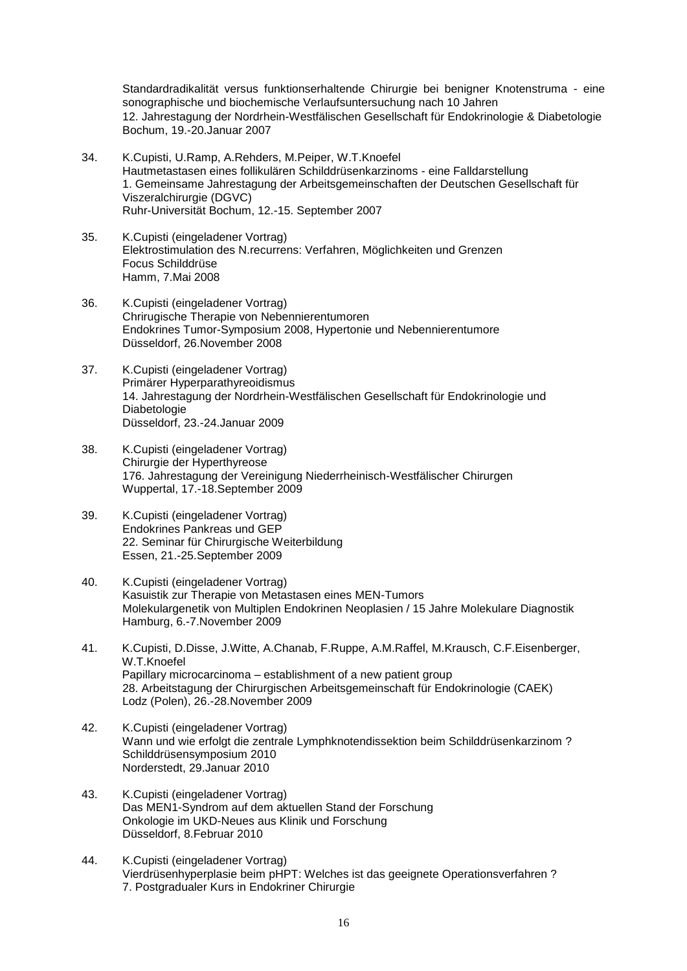Standardradikalität versus funktionserhaltende Chirurgie bei benigner Knotenstruma - eine sonographische und biochemische Verlaufsuntersuchung nach 10 Jahren 12. Jahrestagung der Nordrhein-Westfälischen Gesellschaft für Endokrinologie & Diabetologie Bochum, 19.-20.Januar 2007

- 34. K.Cupisti, U.Ramp, A.Rehders, M.Peiper, W.T.Knoefel Hautmetastasen eines follikulären Schilddrüsenkarzinoms - eine Falldarstellung 1. Gemeinsame Jahrestagung der Arbeitsgemeinschaften der Deutschen Gesellschaft für Viszeralchirurgie (DGVC) Ruhr-Universität Bochum, 12.-15. September 2007
- 35. K.Cupisti (eingeladener Vortrag) Elektrostimulation des N.recurrens: Verfahren, Möglichkeiten und Grenzen Focus Schilddrüse Hamm, 7.Mai 2008
- 36. K.Cupisti (eingeladener Vortrag) Chrirugische Therapie von Nebennierentumoren Endokrines Tumor-Symposium 2008, Hypertonie und Nebennierentumore Düsseldorf, 26.November 2008
- 37. K.Cupisti (eingeladener Vortrag) Primärer Hyperparathyreoidismus 14. Jahrestagung der Nordrhein-Westfälischen Gesellschaft für Endokrinologie und Diabetologie Düsseldorf, 23.-24.Januar 2009
- 38. K.Cupisti (eingeladener Vortrag) Chirurgie der Hyperthyreose 176. Jahrestagung der Vereinigung Niederrheinisch-Westfälischer Chirurgen Wuppertal, 17.-18.September 2009
- 39. K.Cupisti (eingeladener Vortrag) Endokrines Pankreas und GEP 22. Seminar für Chirurgische Weiterbildung Essen, 21.-25.September 2009
- 40. K.Cupisti (eingeladener Vortrag) Kasuistik zur Therapie von Metastasen eines MEN-Tumors Molekulargenetik von Multiplen Endokrinen Neoplasien / 15 Jahre Molekulare Diagnostik Hamburg, 6.-7.November 2009
- 41. K.Cupisti, D.Disse, J.Witte, A.Chanab, F.Ruppe, A.M.Raffel, M.Krausch, C.F.Eisenberger, W.T.Knoefel Papillary microcarcinoma – establishment of a new patient group 28. Arbeitstagung der Chirurgischen Arbeitsgemeinschaft für Endokrinologie (CAEK) Lodz (Polen), 26.-28.November 2009
- 42. K.Cupisti (eingeladener Vortrag) Wann und wie erfolgt die zentrale Lymphknotendissektion beim Schilddrüsenkarzinom ? Schilddrüsensymposium 2010 Norderstedt, 29.Januar 2010
- 43. K.Cupisti (eingeladener Vortrag) Das MEN1-Syndrom auf dem aktuellen Stand der Forschung Onkologie im UKD-Neues aus Klinik und Forschung Düsseldorf, 8.Februar 2010
- 44. K.Cupisti (eingeladener Vortrag) Vierdrüsenhyperplasie beim pHPT: Welches ist das geeignete Operationsverfahren ? 7. Postgradualer Kurs in Endokriner Chirurgie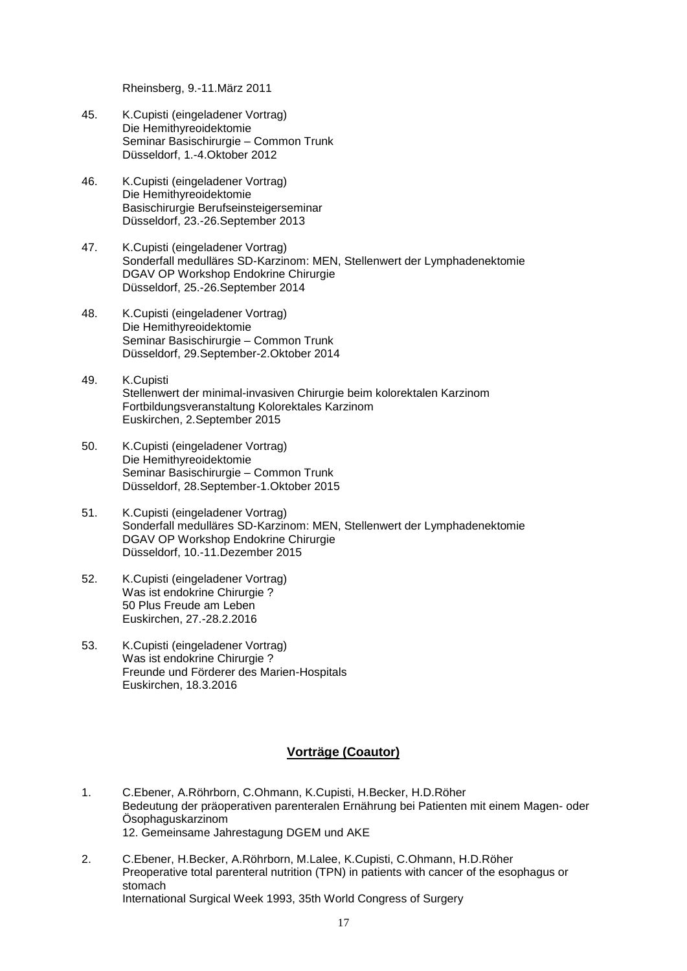Rheinsberg, 9.-11.März 2011

- 45. K.Cupisti (eingeladener Vortrag) Die Hemithyreoidektomie Seminar Basischirurgie – Common Trunk Düsseldorf, 1.-4.Oktober 2012
- 46. K.Cupisti (eingeladener Vortrag) Die Hemithyreoidektomie Basischirurgie Berufseinsteigerseminar Düsseldorf, 23.-26.September 2013
- 47. K.Cupisti (eingeladener Vortrag) Sonderfall medulläres SD-Karzinom: MEN, Stellenwert der Lymphadenektomie DGAV OP Workshop Endokrine Chirurgie Düsseldorf, 25.-26.September 2014
- 48. K.Cupisti (eingeladener Vortrag) Die Hemithyreoidektomie Seminar Basischirurgie – Common Trunk Düsseldorf, 29.September-2.Oktober 2014
- 49. K.Cupisti Stellenwert der minimal-invasiven Chirurgie beim kolorektalen Karzinom Fortbildungsveranstaltung Kolorektales Karzinom Euskirchen, 2.September 2015
- 50. K.Cupisti (eingeladener Vortrag) Die Hemithyreoidektomie Seminar Basischirurgie – Common Trunk Düsseldorf, 28.September-1.Oktober 2015
- 51. K.Cupisti (eingeladener Vortrag) Sonderfall medulläres SD-Karzinom: MEN, Stellenwert der Lymphadenektomie DGAV OP Workshop Endokrine Chirurgie Düsseldorf, 10.-11.Dezember 2015
- 52. K.Cupisti (eingeladener Vortrag) Was ist endokrine Chirurgie? 50 Plus Freude am Leben Euskirchen, 27.-28.2.2016
- 53. K.Cupisti (eingeladener Vortrag) Was ist endokrine Chirurgie ? Freunde und Förderer des Marien-Hospitals Euskirchen, 18.3.2016

#### **Vorträge (Coautor)**

- 1. C.Ebener, A.Röhrborn, C.Ohmann, K.Cupisti, H.Becker, H.D.Röher Bedeutung der präoperativen parenteralen Ernährung bei Patienten mit einem Magen- oder Ösophaguskarzinom 12. Gemeinsame Jahrestagung DGEM und AKE
- 2. C.Ebener, H.Becker, A.Röhrborn, M.Lalee, K.Cupisti, C.Ohmann, H.D.Röher Preoperative total parenteral nutrition (TPN) in patients with cancer of the esophagus or stomach International Surgical Week 1993, 35th World Congress of Surgery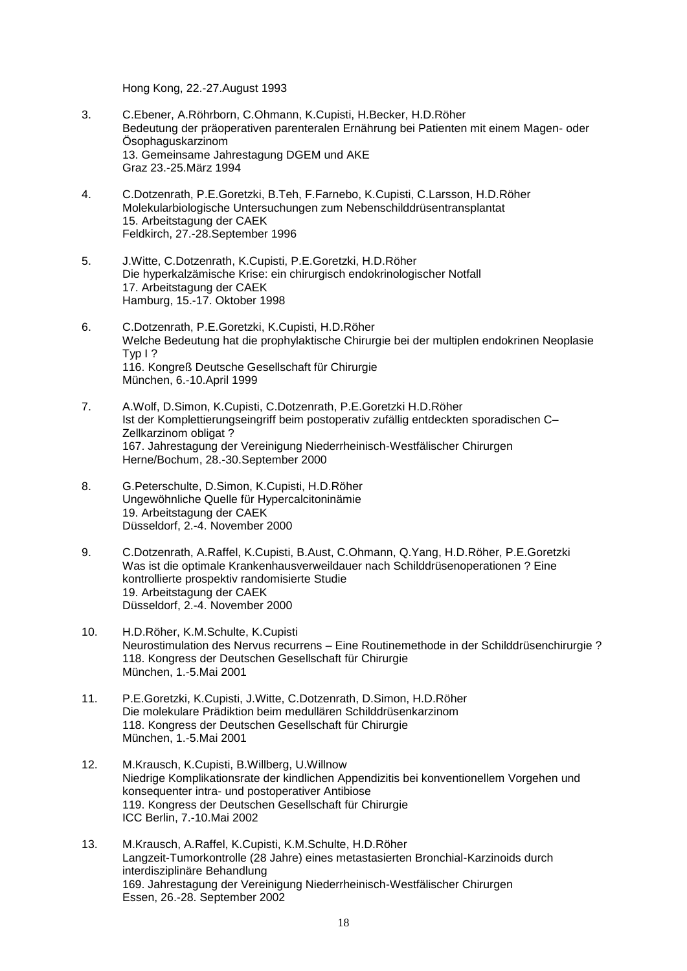Hong Kong, 22.-27.August 1993

- 3. C.Ebener, A.Röhrborn, C.Ohmann, K.Cupisti, H.Becker, H.D.Röher Bedeutung der präoperativen parenteralen Ernährung bei Patienten mit einem Magen- oder Ösophaguskarzinom 13. Gemeinsame Jahrestagung DGEM und AKE Graz 23.-25.März 1994
- 4. C.Dotzenrath, P.E.Goretzki, B.Teh, F.Farnebo, K.Cupisti, C.Larsson, H.D.Röher Molekularbiologische Untersuchungen zum Nebenschilddrüsentransplantat 15. Arbeitstagung der CAEK Feldkirch, 27.-28.September 1996
- 5. J.Witte, C.Dotzenrath, K.Cupisti, P.E.Goretzki, H.D.Röher Die hyperkalzämische Krise: ein chirurgisch endokrinologischer Notfall 17. Arbeitstagung der CAEK Hamburg, 15.-17. Oktober 1998
- 6. C.Dotzenrath, P.E.Goretzki, K.Cupisti, H.D.Röher Welche Bedeutung hat die prophylaktische Chirurgie bei der multiplen endokrinen Neoplasie Typ I ? 116. Kongreß Deutsche Gesellschaft für Chirurgie München, 6.-10.April 1999
- 7. A.Wolf, D.Simon, K.Cupisti, C.Dotzenrath, P.E.Goretzki H.D.Röher Ist der Komplettierungseingriff beim postoperativ zufällig entdeckten sporadischen C– Zellkarzinom obligat ? 167. Jahrestagung der Vereinigung Niederrheinisch-Westfälischer Chirurgen Herne/Bochum, 28.-30.September 2000
- 8. G.Peterschulte, D.Simon, K.Cupisti, H.D.Röher Ungewöhnliche Quelle für Hypercalcitoninämie 19. Arbeitstagung der CAEK Düsseldorf, 2.-4. November 2000
- 9. C.Dotzenrath, A.Raffel, K.Cupisti, B.Aust, C.Ohmann, Q.Yang, H.D.Röher, P.E.Goretzki Was ist die optimale Krankenhausverweildauer nach Schilddrüsenoperationen ? Eine kontrollierte prospektiv randomisierte Studie 19. Arbeitstagung der CAEK Düsseldorf, 2.-4. November 2000
- 10. H.D.Röher, K.M.Schulte, K.Cupisti Neurostimulation des Nervus recurrens – Eine Routinemethode in der Schilddrüsenchirurgie ? 118. Kongress der Deutschen Gesellschaft für Chirurgie München, 1.-5.Mai 2001
- 11. P.E.Goretzki, K.Cupisti, J.Witte, C.Dotzenrath, D.Simon, H.D.Röher Die molekulare Prädiktion beim medullären Schilddrüsenkarzinom 118. Kongress der Deutschen Gesellschaft für Chirurgie München, 1.-5.Mai 2001
- 12. M.Krausch, K.Cupisti, B.Willberg, U.Willnow Niedrige Komplikationsrate der kindlichen Appendizitis bei konventionellem Vorgehen und konsequenter intra- und postoperativer Antibiose 119. Kongress der Deutschen Gesellschaft für Chirurgie ICC Berlin, 7.-10.Mai 2002
- 13. M.Krausch, A.Raffel, K.Cupisti, K.M.Schulte, H.D.Röher Langzeit-Tumorkontrolle (28 Jahre) eines metastasierten Bronchial-Karzinoids durch interdisziplinäre Behandlung 169. Jahrestagung der Vereinigung Niederrheinisch-Westfälischer Chirurgen Essen, 26.-28. September 2002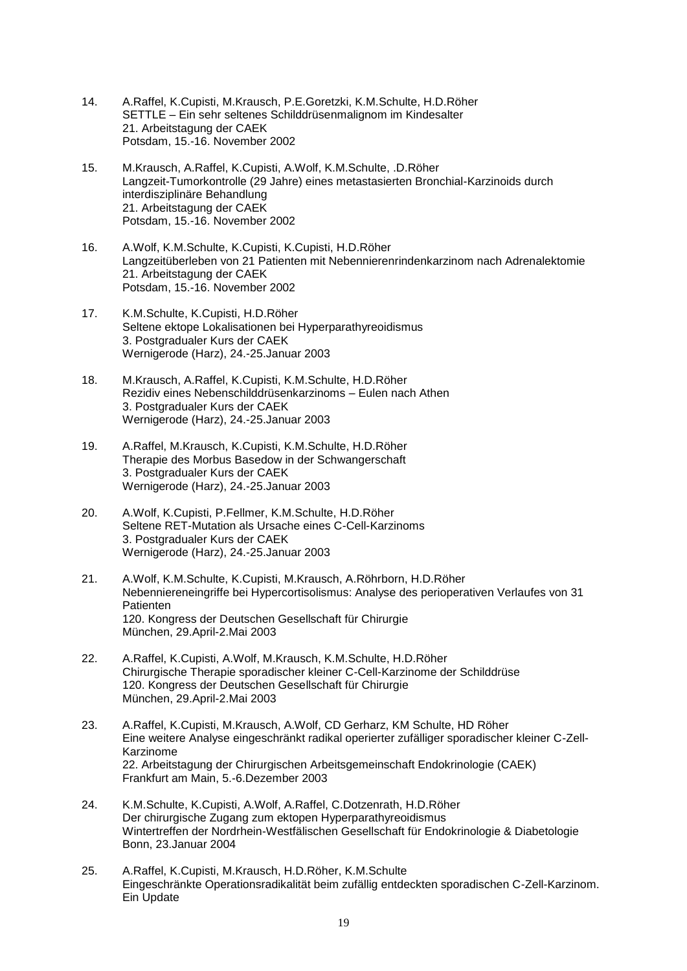- 14. A.Raffel, K.Cupisti, M.Krausch, P.E.Goretzki, K.M.Schulte, H.D.Röher SETTLE – Ein sehr seltenes Schilddrüsenmalignom im Kindesalter 21. Arbeitstagung der CAEK Potsdam, 15.-16. November 2002
- 15. M.Krausch, A.Raffel, K.Cupisti, A.Wolf, K.M.Schulte, .D.Röher Langzeit-Tumorkontrolle (29 Jahre) eines metastasierten Bronchial-Karzinoids durch interdisziplinäre Behandlung 21. Arbeitstagung der CAEK Potsdam, 15.-16. November 2002
- 16. A.Wolf, K.M.Schulte, K.Cupisti, K.Cupisti, H.D.Röher Langzeitüberleben von 21 Patienten mit Nebennierenrindenkarzinom nach Adrenalektomie 21. Arbeitstagung der CAEK Potsdam, 15.-16. November 2002
- 17. K.M.Schulte, K.Cupisti, H.D.Röher Seltene ektope Lokalisationen bei Hyperparathyreoidismus 3. Postgradualer Kurs der CAEK Wernigerode (Harz), 24.-25.Januar 2003
- 18. M.Krausch, A.Raffel, K.Cupisti, K.M.Schulte, H.D.Röher Rezidiv eines Nebenschilddrüsenkarzinoms – Eulen nach Athen 3. Postgradualer Kurs der CAEK Wernigerode (Harz), 24.-25.Januar 2003
- 19. A.Raffel, M.Krausch, K.Cupisti, K.M.Schulte, H.D.Röher Therapie des Morbus Basedow in der Schwangerschaft 3. Postgradualer Kurs der CAEK Wernigerode (Harz), 24.-25.Januar 2003
- 20. A.Wolf, K.Cupisti, P.Fellmer, K.M.Schulte, H.D.Röher Seltene RET-Mutation als Ursache eines C-Cell-Karzinoms 3. Postgradualer Kurs der CAEK Wernigerode (Harz), 24.-25.Januar 2003
- 21. A.Wolf, K.M.Schulte, K.Cupisti, M.Krausch, A.Röhrborn, H.D.Röher Nebenniereneingriffe bei Hypercortisolismus: Analyse des perioperativen Verlaufes von 31 **Patienten** 120. Kongress der Deutschen Gesellschaft für Chirurgie München, 29.April-2.Mai 2003
- 22. A.Raffel, K.Cupisti, A.Wolf, M.Krausch, K.M.Schulte, H.D.Röher Chirurgische Therapie sporadischer kleiner C-Cell-Karzinome der Schilddrüse 120. Kongress der Deutschen Gesellschaft für Chirurgie München, 29.April-2.Mai 2003
- 23. A.Raffel, K.Cupisti, M.Krausch, A.Wolf, CD Gerharz, KM Schulte, HD Röher Eine weitere Analyse eingeschränkt radikal operierter zufälliger sporadischer kleiner C-Zell-Karzinome 22. Arbeitstagung der Chirurgischen Arbeitsgemeinschaft Endokrinologie (CAEK) Frankfurt am Main, 5.-6.Dezember 2003
- 24. K.M.Schulte, K.Cupisti, A.Wolf, A.Raffel, C.Dotzenrath, H.D.Röher Der chirurgische Zugang zum ektopen Hyperparathyreoidismus Wintertreffen der Nordrhein-Westfälischen Gesellschaft für Endokrinologie & Diabetologie Bonn, 23.Januar 2004
- 25. A.Raffel, K.Cupisti, M.Krausch, H.D.Röher, K.M.Schulte Eingeschränkte Operationsradikalität beim zufällig entdeckten sporadischen C-Zell-Karzinom. Ein Update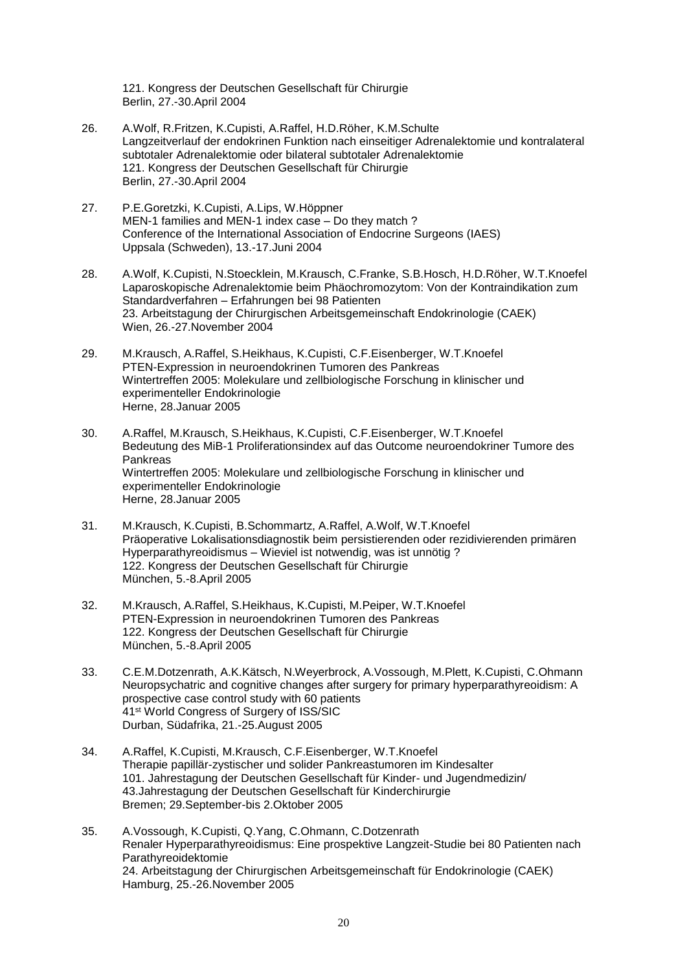121. Kongress der Deutschen Gesellschaft für Chirurgie Berlin, 27.-30.April 2004

- 26. A.Wolf, R.Fritzen, K.Cupisti, A.Raffel, H.D.Röher, K.M.Schulte Langzeitverlauf der endokrinen Funktion nach einseitiger Adrenalektomie und kontralateral subtotaler Adrenalektomie oder bilateral subtotaler Adrenalektomie 121. Kongress der Deutschen Gesellschaft für Chirurgie Berlin, 27.-30.April 2004
- 27. P.E.Goretzki, K.Cupisti, A.Lips, W.Höppner MEN-1 families and MEN-1 index case – Do they match ? Conference of the International Association of Endocrine Surgeons (IAES) Uppsala (Schweden), 13.-17.Juni 2004
- 28. A.Wolf, K.Cupisti, N.Stoecklein, M.Krausch, C.Franke, S.B.Hosch, H.D.Röher, W.T.Knoefel Laparoskopische Adrenalektomie beim Phäochromozytom: Von der Kontraindikation zum Standardverfahren – Erfahrungen bei 98 Patienten 23. Arbeitstagung der Chirurgischen Arbeitsgemeinschaft Endokrinologie (CAEK) Wien, 26.-27.November 2004
- 29. M.Krausch, A.Raffel, S.Heikhaus, K.Cupisti, C.F.Eisenberger, W.T.Knoefel PTEN-Expression in neuroendokrinen Tumoren des Pankreas Wintertreffen 2005: Molekulare und zellbiologische Forschung in klinischer und experimenteller Endokrinologie Herne, 28.Januar 2005
- 30. A.Raffel, M.Krausch, S.Heikhaus, K.Cupisti, C.F.Eisenberger, W.T.Knoefel Bedeutung des MiB-1 Proliferationsindex auf das Outcome neuroendokriner Tumore des Pankreas Wintertreffen 2005: Molekulare und zellbiologische Forschung in klinischer und experimenteller Endokrinologie Herne, 28.Januar 2005
- 31. M.Krausch, K.Cupisti, B.Schommartz, A.Raffel, A.Wolf, W.T.Knoefel Präoperative Lokalisationsdiagnostik beim persistierenden oder rezidivierenden primären Hyperparathyreoidismus – Wieviel ist notwendig, was ist unnötig ? 122. Kongress der Deutschen Gesellschaft für Chirurgie München, 5.-8.April 2005
- 32. M.Krausch, A.Raffel, S.Heikhaus, K.Cupisti, M.Peiper, W.T.Knoefel PTEN-Expression in neuroendokrinen Tumoren des Pankreas 122. Kongress der Deutschen Gesellschaft für Chirurgie München, 5.-8.April 2005
- 33. C.E.M.Dotzenrath, A.K.Kätsch, N.Weyerbrock, A.Vossough, M.Plett, K.Cupisti, C.Ohmann Neuropsychatric and cognitive changes after surgery for primary hyperparathyreoidism: A prospective case control study with 60 patients 41st World Congress of Surgery of ISS/SIC Durban, Südafrika, 21.-25.August 2005
- 34. A.Raffel, K.Cupisti, M.Krausch, C.F.Eisenberger, W.T.Knoefel Therapie papillär-zystischer und solider Pankreastumoren im Kindesalter 101. Jahrestagung der Deutschen Gesellschaft für Kinder- und Jugendmedizin/ 43.Jahrestagung der Deutschen Gesellschaft für Kinderchirurgie Bremen; 29.September-bis 2.Oktober 2005
- 35. A.Vossough, K.Cupisti, Q.Yang, C.Ohmann, C.Dotzenrath Renaler Hyperparathyreoidismus: Eine prospektive Langzeit-Studie bei 80 Patienten nach Parathyreoidektomie 24. Arbeitstagung der Chirurgischen Arbeitsgemeinschaft für Endokrinologie (CAEK) Hamburg, 25.-26.November 2005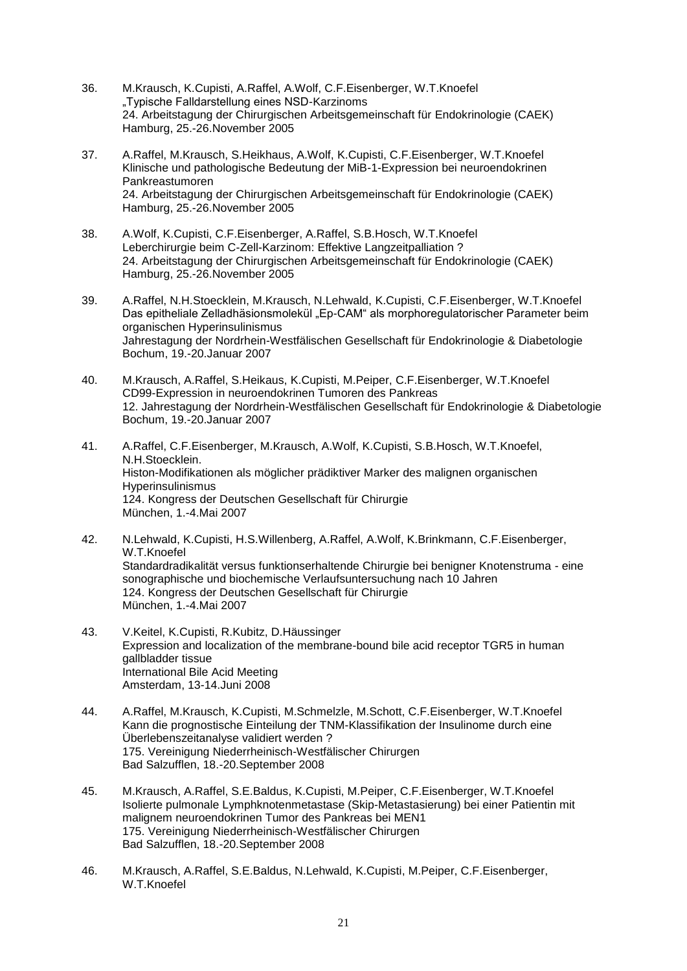- 36. M.Krausch, K.Cupisti, A.Raffel, A.Wolf, C.F.Eisenberger, W.T.Knoefel "Typische Falldarstellung eines NSD-Karzinoms 24. Arbeitstagung der Chirurgischen Arbeitsgemeinschaft für Endokrinologie (CAEK) Hamburg, 25.-26.November 2005
- 37. A.Raffel, M.Krausch, S.Heikhaus, A.Wolf, K.Cupisti, C.F.Eisenberger, W.T.Knoefel Klinische und pathologische Bedeutung der MiB-1-Expression bei neuroendokrinen Pankreastumoren 24. Arbeitstagung der Chirurgischen Arbeitsgemeinschaft für Endokrinologie (CAEK) Hamburg, 25.-26.November 2005
- 38. A.Wolf, K.Cupisti, C.F.Eisenberger, A.Raffel, S.B.Hosch, W.T.Knoefel Leberchirurgie beim C-Zell-Karzinom: Effektive Langzeitpalliation ? 24. Arbeitstagung der Chirurgischen Arbeitsgemeinschaft für Endokrinologie (CAEK) Hamburg, 25.-26.November 2005
- 39. A.Raffel, N.H.Stoecklein, M.Krausch, N.Lehwald, K.Cupisti, C.F.Eisenberger, W.T.Knoefel Das epitheliale Zelladhäsionsmolekül "Ep-CAM" als morphoregulatorischer Parameter beim organischen Hyperinsulinismus Jahrestagung der Nordrhein-Westfälischen Gesellschaft für Endokrinologie & Diabetologie Bochum, 19.-20.Januar 2007
- 40. M.Krausch, A.Raffel, S.Heikaus, K.Cupisti, M.Peiper, C.F.Eisenberger, W.T.Knoefel CD99-Expression in neuroendokrinen Tumoren des Pankreas 12. Jahrestagung der Nordrhein-Westfälischen Gesellschaft für Endokrinologie & Diabetologie Bochum, 19.-20.Januar 2007
- 41. A.Raffel, C.F.Eisenberger, M.Krausch, A.Wolf, K.Cupisti, S.B.Hosch, W.T.Knoefel, N.H.Stoecklein. Histon-Modifikationen als möglicher prädiktiver Marker des malignen organischen Hyperinsulinismus 124. Kongress der Deutschen Gesellschaft für Chirurgie München, 1.-4.Mai 2007
- 42. N.Lehwald, K.Cupisti, H.S.Willenberg, A.Raffel, A.Wolf, K.Brinkmann, C.F.Eisenberger, W.T.Knoefel Standardradikalität versus funktionserhaltende Chirurgie bei benigner Knotenstruma - eine sonographische und biochemische Verlaufsuntersuchung nach 10 Jahren 124. Kongress der Deutschen Gesellschaft für Chirurgie München, 1.-4.Mai 2007
- 43. V.Keitel, K.Cupisti, R.Kubitz, D.Häussinger Expression and localization of the membrane-bound bile acid receptor TGR5 in human gallbladder tissue International Bile Acid Meeting Amsterdam, 13-14.Juni 2008
- 44. A.Raffel, M.Krausch, K.Cupisti, M.Schmelzle, M.Schott, C.F.Eisenberger, W.T.Knoefel Kann die prognostische Einteilung der TNM-Klassifikation der Insulinome durch eine Überlebenszeitanalyse validiert werden ? 175. Vereinigung Niederrheinisch-Westfälischer Chirurgen Bad Salzufflen, 18.-20.September 2008
- 45. M.Krausch, A.Raffel, S.E.Baldus, K.Cupisti, M.Peiper, C.F.Eisenberger, W.T.Knoefel Isolierte pulmonale Lymphknotenmetastase (Skip-Metastasierung) bei einer Patientin mit malignem neuroendokrinen Tumor des Pankreas bei MEN1 175. Vereinigung Niederrheinisch-Westfälischer Chirurgen Bad Salzufflen, 18.-20.September 2008
- 46. M.Krausch, A.Raffel, S.E.Baldus, N.Lehwald, K.Cupisti, M.Peiper, C.F.Eisenberger, W.T.Knoefel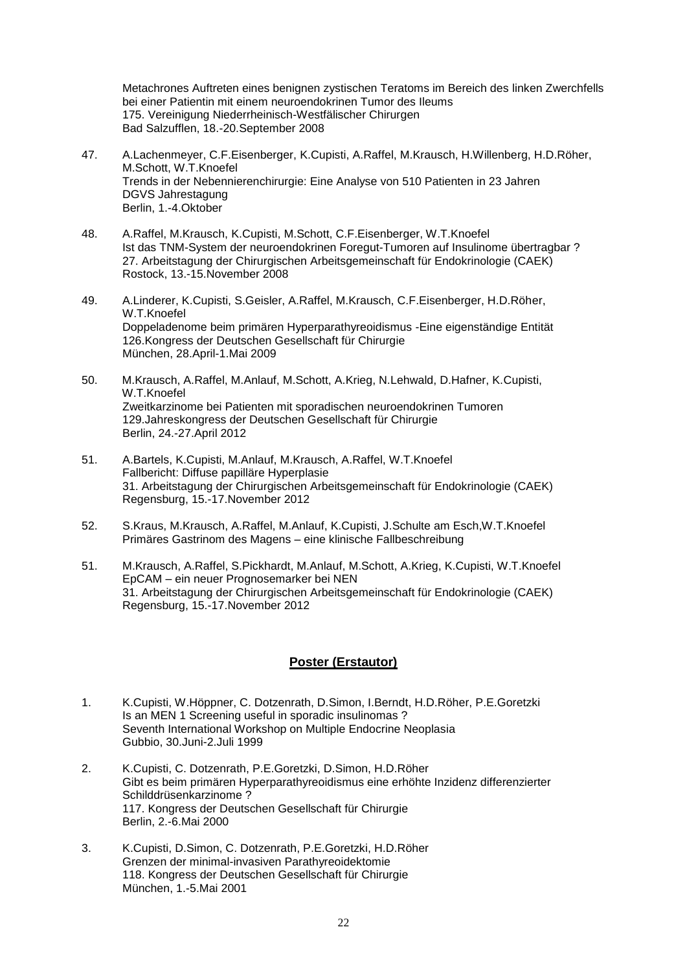Metachrones Auftreten eines benignen zystischen Teratoms im Bereich des linken Zwerchfells bei einer Patientin mit einem neuroendokrinen Tumor des Ileums 175. Vereinigung Niederrheinisch-Westfälischer Chirurgen Bad Salzufflen, 18.-20.September 2008

- 47. A.Lachenmeyer, C.F.Eisenberger, K.Cupisti, A.Raffel, M.Krausch, H.Willenberg, H.D.Röher, M.Schott, W.T.Knoefel Trends in der Nebennierenchirurgie: Eine Analyse von 510 Patienten in 23 Jahren DGVS Jahrestagung Berlin, 1.-4.Oktober
- 48. A.Raffel, M.Krausch, K.Cupisti, M.Schott, C.F.Eisenberger, W.T.Knoefel Ist das TNM-System der neuroendokrinen Foregut-Tumoren auf Insulinome übertragbar ? 27. Arbeitstagung der Chirurgischen Arbeitsgemeinschaft für Endokrinologie (CAEK) Rostock, 13.-15.November 2008
- 49. A.Linderer, K.Cupisti, S.Geisler, A.Raffel, M.Krausch, C.F.Eisenberger, H.D.Röher, W.T.Knoefel Doppeladenome beim primären Hyperparathyreoidismus -Eine eigenständige Entität 126.Kongress der Deutschen Gesellschaft für Chirurgie München, 28.April-1.Mai 2009
- 50. M.Krausch, A.Raffel, M.Anlauf, M.Schott, A.Krieg, N.Lehwald, D.Hafner, K.Cupisti, W.T.Knoefel Zweitkarzinome bei Patienten mit sporadischen neuroendokrinen Tumoren 129.Jahreskongress der Deutschen Gesellschaft für Chirurgie Berlin, 24.-27.April 2012
- 51. A.Bartels, K.Cupisti, M.Anlauf, M.Krausch, A.Raffel, W.T.Knoefel Fallbericht: Diffuse papilläre Hyperplasie 31. Arbeitstagung der Chirurgischen Arbeitsgemeinschaft für Endokrinologie (CAEK) Regensburg, 15.-17.November 2012
- 52. S.Kraus, M.Krausch, A.Raffel, M.Anlauf, K.Cupisti, J.Schulte am Esch,W.T.Knoefel Primäres Gastrinom des Magens – eine klinische Fallbeschreibung
- 51. M.Krausch, A.Raffel, S.Pickhardt, M.Anlauf, M.Schott, A.Krieg, K.Cupisti, W.T.Knoefel EpCAM – ein neuer Prognosemarker bei NEN 31. Arbeitstagung der Chirurgischen Arbeitsgemeinschaft für Endokrinologie (CAEK) Regensburg, 15.-17.November 2012

#### **Poster (Erstautor)**

- 1. K.Cupisti, W.Höppner, C. Dotzenrath, D.Simon, I.Berndt, H.D.Röher, P.E.Goretzki Is an MEN 1 Screening useful in sporadic insulinomas ? Seventh International Workshop on Multiple Endocrine Neoplasia Gubbio, 30.Juni-2.Juli 1999
- 2. K.Cupisti, C. Dotzenrath, P.E.Goretzki, D.Simon, H.D.Röher Gibt es beim primären Hyperparathyreoidismus eine erhöhte Inzidenz differenzierter Schilddrüsenkarzinome ? 117. Kongress der Deutschen Gesellschaft für Chirurgie Berlin, 2.-6.Mai 2000
- 3. K.Cupisti, D.Simon, C. Dotzenrath, P.E.Goretzki, H.D.Röher Grenzen der minimal-invasiven Parathyreoidektomie 118. Kongress der Deutschen Gesellschaft für Chirurgie München, 1.-5.Mai 2001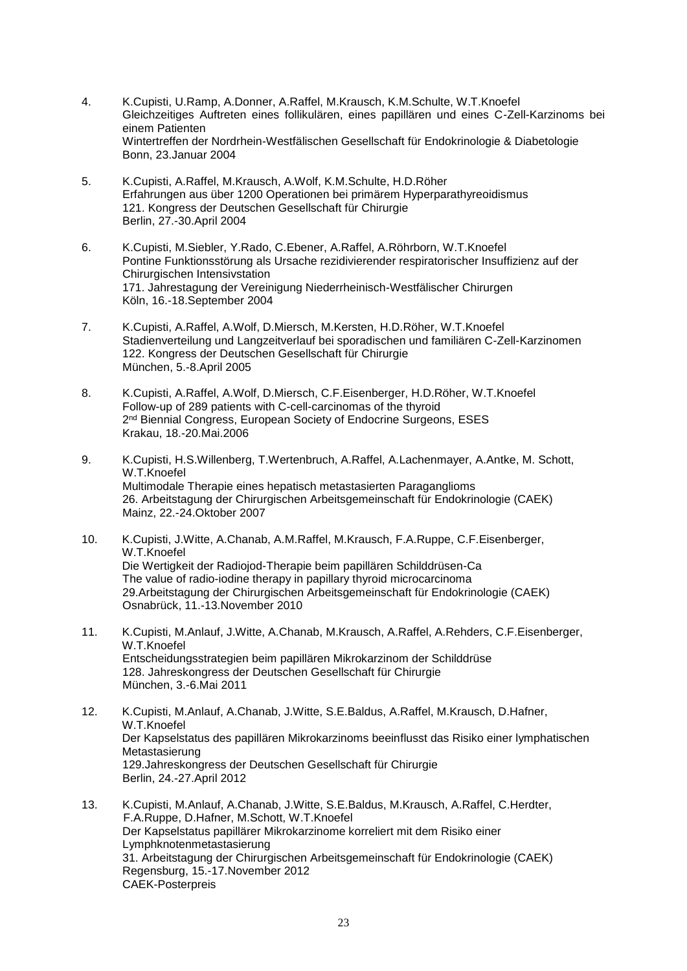- 4. K.Cupisti, U.Ramp, A.Donner, A.Raffel, M.Krausch, K.M.Schulte, W.T.Knoefel Gleichzeitiges Auftreten eines follikulären, eines papillären und eines C-Zell-Karzinoms bei einem Patienten Wintertreffen der Nordrhein-Westfälischen Gesellschaft für Endokrinologie & Diabetologie Bonn, 23.Januar 2004
- 5. K.Cupisti, A.Raffel, M.Krausch, A.Wolf, K.M.Schulte, H.D.Röher Erfahrungen aus über 1200 Operationen bei primärem Hyperparathyreoidismus 121. Kongress der Deutschen Gesellschaft für Chirurgie Berlin, 27.-30.April 2004
- 6. K.Cupisti, M.Siebler, Y.Rado, C.Ebener, A.Raffel, A.Röhrborn, W.T.Knoefel Pontine Funktionsstörung als Ursache rezidivierender respiratorischer Insuffizienz auf der Chirurgischen Intensivstation 171. Jahrestagung der Vereinigung Niederrheinisch-Westfälischer Chirurgen Köln, 16.-18.September 2004
- 7. K.Cupisti, A.Raffel, A.Wolf, D.Miersch, M.Kersten, H.D.Röher, W.T.Knoefel Stadienverteilung und Langzeitverlauf bei sporadischen und familiären C-Zell-Karzinomen 122. Kongress der Deutschen Gesellschaft für Chirurgie München, 5.-8.April 2005
- 8. K.Cupisti, A.Raffel, A.Wolf, D.Miersch, C.F.Eisenberger, H.D.Röher, W.T.Knoefel Follow-up of 289 patients with C-cell-carcinomas of the thyroid 2<sup>nd</sup> Biennial Congress, European Society of Endocrine Surgeons, ESES Krakau, 18.-20.Mai.2006
- 9. K.Cupisti, H.S.Willenberg, T.Wertenbruch, A.Raffel, A.Lachenmayer, A.Antke, M. Schott, W.T.Knoefel Multimodale Therapie eines hepatisch metastasierten Paraganglioms 26. Arbeitstagung der Chirurgischen Arbeitsgemeinschaft für Endokrinologie (CAEK) Mainz, 22.-24.Oktober 2007
- 10. K.Cupisti, J.Witte, A.Chanab, A.M.Raffel, M.Krausch, F.A.Ruppe, C.F.Eisenberger, W.T.Knoefel Die Wertigkeit der Radiojod-Therapie beim papillären Schilddrüsen-Ca The value of radio-iodine therapy in papillary thyroid microcarcinoma 29.Arbeitstagung der Chirurgischen Arbeitsgemeinschaft für Endokrinologie (CAEK) Osnabrück, 11.-13.November 2010
- 11. K.Cupisti, M.Anlauf, J.Witte, A.Chanab, M.Krausch, A.Raffel, A.Rehders, C.F.Eisenberger, W.T.Knoefel Entscheidungsstrategien beim papillären Mikrokarzinom der Schilddrüse 128. Jahreskongress der Deutschen Gesellschaft für Chirurgie München, 3.-6.Mai 2011
- 12. K.Cupisti, M.Anlauf, A.Chanab, J.Witte, S.E.Baldus, A.Raffel, M.Krausch, D.Hafner, W.T.Knoefel Der Kapselstatus des papillären Mikrokarzinoms beeinflusst das Risiko einer lymphatischen Metastasierung 129.Jahreskongress der Deutschen Gesellschaft für Chirurgie Berlin, 24.-27.April 2012
- 13. K.Cupisti, M.Anlauf, A.Chanab, J.Witte, S.E.Baldus, M.Krausch, A.Raffel, C.Herdter, F.A.Ruppe, D.Hafner, M.Schott, W.T.Knoefel Der Kapselstatus papillärer Mikrokarzinome korreliert mit dem Risiko einer Lymphknotenmetastasierung 31. Arbeitstagung der Chirurgischen Arbeitsgemeinschaft für Endokrinologie (CAEK) Regensburg, 15.-17.November 2012 CAEK-Posterpreis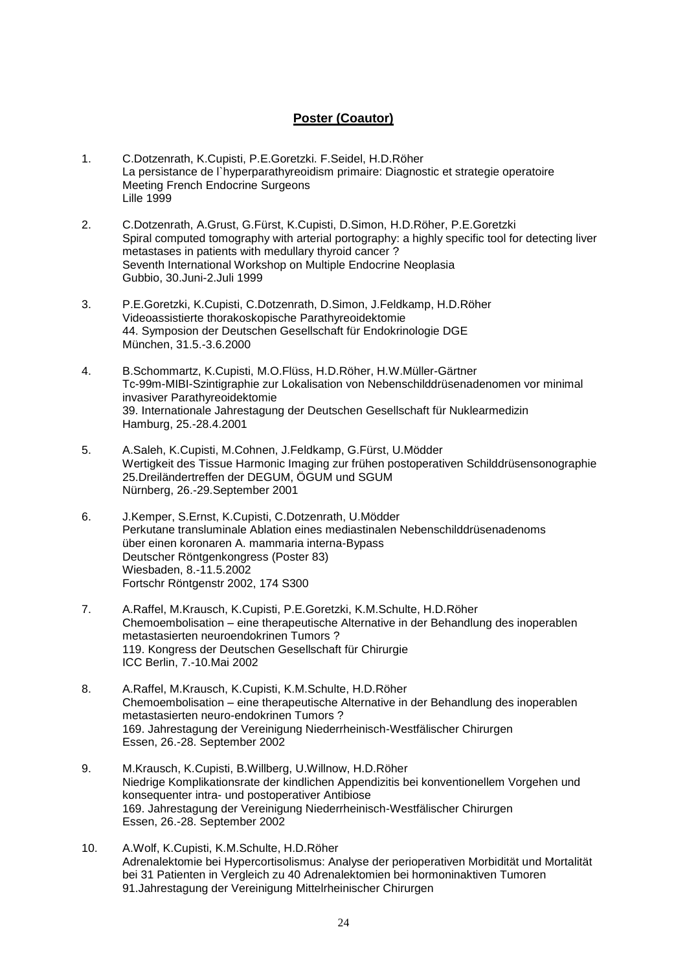## **Poster (Coautor)**

- 1. C.Dotzenrath, K.Cupisti, P.E.Goretzki. F.Seidel, H.D.Röher La persistance de l`hyperparathyreoidism primaire: Diagnostic et strategie operatoire Meeting French Endocrine Surgeons Lille 1999
- 2. C.Dotzenrath, A.Grust, G.Fürst, K.Cupisti, D.Simon, H.D.Röher, P.E.Goretzki Spiral computed tomography with arterial portography: a highly specific tool for detecting liver metastases in patients with medullary thyroid cancer ? Seventh International Workshop on Multiple Endocrine Neoplasia Gubbio, 30.Juni-2.Juli 1999
- 3. P.E.Goretzki, K.Cupisti, C.Dotzenrath, D.Simon, J.Feldkamp, H.D.Röher Videoassistierte thorakoskopische Parathyreoidektomie 44. Symposion der Deutschen Gesellschaft für Endokrinologie DGE München, 31.5.-3.6.2000
- 4. B.Schommartz, K.Cupisti, M.O.Flüss, H.D.Röher, H.W.Müller-Gärtner Tc-99m-MIBI-Szintigraphie zur Lokalisation von Nebenschilddrüsenadenomen vor minimal invasiver Parathyreoidektomie 39. Internationale Jahrestagung der Deutschen Gesellschaft für Nuklearmedizin Hamburg, 25.-28.4.2001
- 5. A.Saleh, K.Cupisti, M.Cohnen, J.Feldkamp, G.Fürst, U.Mödder Wertigkeit des Tissue Harmonic Imaging zur frühen postoperativen Schilddrüsensonographie 25.Dreiländertreffen der DEGUM, ÖGUM und SGUM Nürnberg, 26.-29.September 2001
- 6. J.Kemper, S.Ernst, K.Cupisti, C.Dotzenrath, U.Mödder Perkutane transluminale Ablation eines mediastinalen Nebenschilddrüsenadenoms über einen koronaren A. mammaria interna-Bypass Deutscher Röntgenkongress (Poster 83) Wiesbaden, 8.-11.5.2002 Fortschr Röntgenstr 2002, 174 S300
- 7. A.Raffel, M.Krausch, K.Cupisti, P.E.Goretzki, K.M.Schulte, H.D.Röher Chemoembolisation – eine therapeutische Alternative in der Behandlung des inoperablen metastasierten neuroendokrinen Tumors ? 119. Kongress der Deutschen Gesellschaft für Chirurgie ICC Berlin, 7.-10.Mai 2002
- 8. A.Raffel, M.Krausch, K.Cupisti, K.M.Schulte, H.D.Röher Chemoembolisation – eine therapeutische Alternative in der Behandlung des inoperablen metastasierten neuro-endokrinen Tumors ? 169. Jahrestagung der Vereinigung Niederrheinisch-Westfälischer Chirurgen Essen, 26.-28. September 2002
- 9. M.Krausch, K.Cupisti, B.Willberg, U.Willnow, H.D.Röher Niedrige Komplikationsrate der kindlichen Appendizitis bei konventionellem Vorgehen und konsequenter intra- und postoperativer Antibiose 169. Jahrestagung der Vereinigung Niederrheinisch-Westfälischer Chirurgen Essen, 26.-28. September 2002
- 10. A.Wolf, K.Cupisti, K.M.Schulte, H.D.Röher Adrenalektomie bei Hypercortisolismus: Analyse der perioperativen Morbidität und Mortalität bei 31 Patienten in Vergleich zu 40 Adrenalektomien bei hormoninaktiven Tumoren 91.Jahrestagung der Vereinigung Mittelrheinischer Chirurgen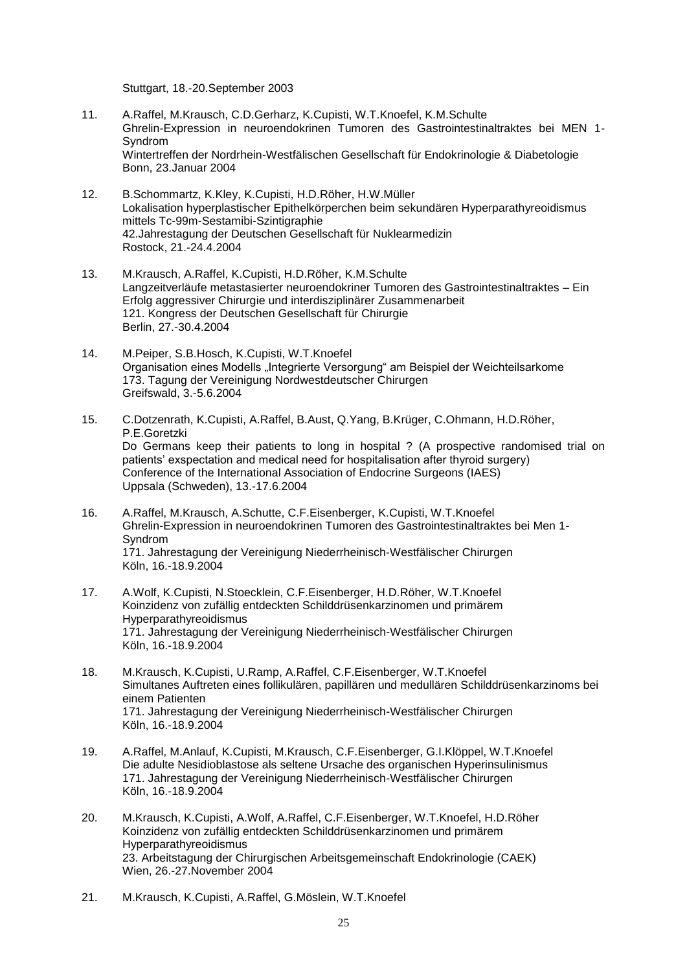Stuttgart, 18.-20.September 2003

- 11. A.Raffel, M.Krausch, C.D.Gerharz, K.Cupisti, W.T.Knoefel, K.M.Schulte Ghrelin-Expression in neuroendokrinen Tumoren des Gastrointestinaltraktes bei MEN 1- Syndrom Wintertreffen der Nordrhein-Westfälischen Gesellschaft für Endokrinologie & Diabetologie Bonn, 23.Januar 2004
- 12. B.Schommartz, K.Kley, K.Cupisti, H.D.Röher, H.W.Müller Lokalisation hyperplastischer Epithelkörperchen beim sekundären Hyperparathyreoidismus mittels Tc-99m-Sestamibi-Szintigraphie 42.Jahrestagung der Deutschen Gesellschaft für Nuklearmedizin Rostock, 21.-24.4.2004
- 13. M.Krausch, A.Raffel, K.Cupisti, H.D.Röher, K.M.Schulte Langzeitverläufe metastasierter neuroendokriner Tumoren des Gastrointestinaltraktes – Ein Erfolg aggressiver Chirurgie und interdisziplinärer Zusammenarbeit 121. Kongress der Deutschen Gesellschaft für Chirurgie Berlin, 27.-30.4.2004
- 14. M.Peiper, S.B.Hosch, K.Cupisti, W.T.Knoefel Organisation eines Modells "Integrierte Versorgung" am Beispiel der Weichteilsarkome 173. Tagung der Vereinigung Nordwestdeutscher Chirurgen Greifswald, 3.-5.6.2004
- 15. C.Dotzenrath, K.Cupisti, A.Raffel, B.Aust, Q.Yang, B.Krüger, C.Ohmann, H.D.Röher, P.E.Goretzki Do Germans keep their patients to long in hospital ? (A prospective randomised trial on patients' exspectation and medical need for hospitalisation after thyroid surgery) Conference of the International Association of Endocrine Surgeons (IAES) Uppsala (Schweden), 13.-17.6.2004
- 16. A.Raffel, M.Krausch, A.Schutte, C.F.Eisenberger, K.Cupisti, W.T.Knoefel Ghrelin-Expression in neuroendokrinen Tumoren des Gastrointestinaltraktes bei Men 1- Syndrom 171. Jahrestagung der Vereinigung Niederrheinisch-Westfälischer Chirurgen Köln, 16.-18.9.2004
- 17. A.Wolf, K.Cupisti, N.Stoecklein, C.F.Eisenberger, H.D.Röher, W.T.Knoefel Koinzidenz von zufällig entdeckten Schilddrüsenkarzinomen und primärem Hyperparathyreoidismus 171. Jahrestagung der Vereinigung Niederrheinisch-Westfälischer Chirurgen Köln, 16.-18.9.2004
- 18. M.Krausch, K.Cupisti, U.Ramp, A.Raffel, C.F.Eisenberger, W.T.Knoefel Simultanes Auftreten eines follikulären, papillären und medullären Schilddrüsenkarzinoms bei einem Patienten 171. Jahrestagung der Vereinigung Niederrheinisch-Westfälischer Chirurgen Köln, 16.-18.9.2004
- 19. A.Raffel, M.Anlauf, K.Cupisti, M.Krausch, C.F.Eisenberger, G.I.Klöppel, W.T.Knoefel Die adulte Nesidioblastose als seltene Ursache des organischen Hyperinsulinismus 171. Jahrestagung der Vereinigung Niederrheinisch-Westfälischer Chirurgen Köln, 16.-18.9.2004
- 20. M.Krausch, K.Cupisti, A.Wolf, A.Raffel, C.F.Eisenberger, W.T.Knoefel, H.D.Röher Koinzidenz von zufällig entdeckten Schilddrüsenkarzinomen und primärem Hyperparathyreoidismus 23. Arbeitstagung der Chirurgischen Arbeitsgemeinschaft Endokrinologie (CAEK) Wien, 26.-27.November 2004
- 21. M.Krausch, K.Cupisti, A.Raffel, G.Möslein, W.T.Knoefel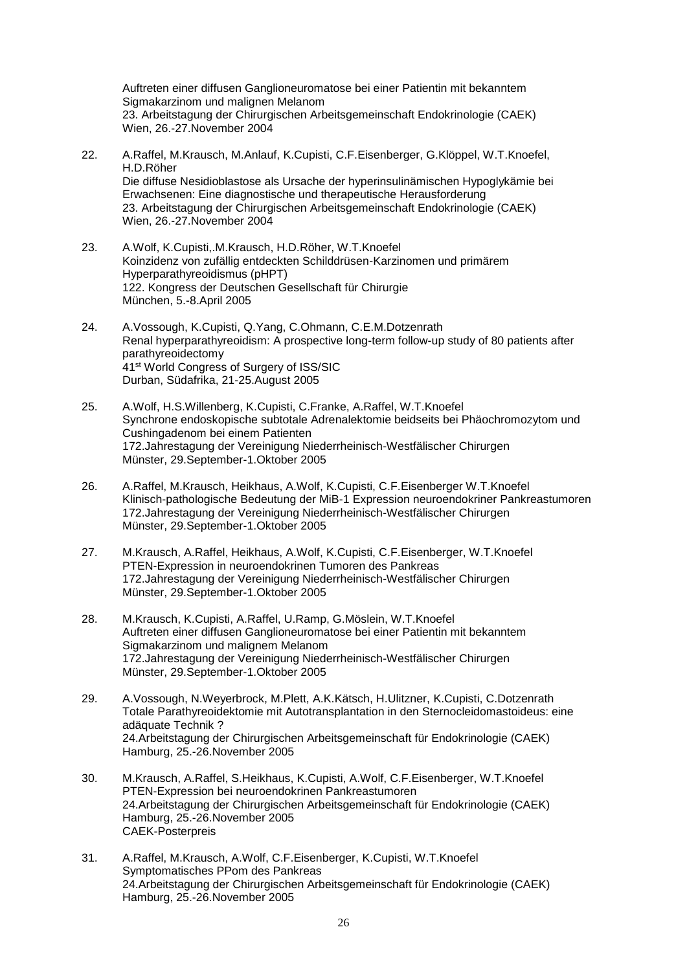Auftreten einer diffusen Ganglioneuromatose bei einer Patientin mit bekanntem Sigmakarzinom und malignen Melanom 23. Arbeitstagung der Chirurgischen Arbeitsgemeinschaft Endokrinologie (CAEK) Wien, 26.-27.November 2004

- 22. A.Raffel, M.Krausch, M.Anlauf, K.Cupisti, C.F.Eisenberger, G.Klöppel, W.T.Knoefel, H.D.Röher Die diffuse Nesidioblastose als Ursache der hyperinsulinämischen Hypoglykämie bei Erwachsenen: Eine diagnostische und therapeutische Herausforderung 23. Arbeitstagung der Chirurgischen Arbeitsgemeinschaft Endokrinologie (CAEK) Wien, 26.-27.November 2004
- 23. A.Wolf, K.Cupisti,.M.Krausch, H.D.Röher, W.T.Knoefel Koinzidenz von zufällig entdeckten Schilddrüsen-Karzinomen und primärem Hyperparathyreoidismus (pHPT) 122. Kongress der Deutschen Gesellschaft für Chirurgie München, 5.-8.April 2005
- 24. A.Vossough, K.Cupisti, Q.Yang, C.Ohmann, C.E.M.Dotzenrath Renal hyperparathyreoidism: A prospective long-term follow-up study of 80 patients after parathyreoidectomy 41st World Congress of Surgery of ISS/SIC Durban, Südafrika, 21-25.August 2005
- 25. A.Wolf, H.S.Willenberg, K.Cupisti, C.Franke, A.Raffel, W.T.Knoefel Synchrone endoskopische subtotale Adrenalektomie beidseits bei Phäochromozytom und Cushingadenom bei einem Patienten 172.Jahrestagung der Vereinigung Niederrheinisch-Westfälischer Chirurgen Münster, 29.September-1.Oktober 2005
- 26. A.Raffel, M.Krausch, Heikhaus, A.Wolf, K.Cupisti, C.F.Eisenberger W.T.Knoefel Klinisch-pathologische Bedeutung der MiB-1 Expression neuroendokriner Pankreastumoren 172.Jahrestagung der Vereinigung Niederrheinisch-Westfälischer Chirurgen Münster, 29.September-1.Oktober 2005
- 27. M.Krausch, A.Raffel, Heikhaus, A.Wolf, K.Cupisti, C.F.Eisenberger, W.T.Knoefel PTEN-Expression in neuroendokrinen Tumoren des Pankreas 172.Jahrestagung der Vereinigung Niederrheinisch-Westfälischer Chirurgen Münster, 29.September-1.Oktober 2005
- 28. M.Krausch, K.Cupisti, A.Raffel, U.Ramp, G.Möslein, W.T.Knoefel Auftreten einer diffusen Ganglioneuromatose bei einer Patientin mit bekanntem Sigmakarzinom und malignem Melanom 172.Jahrestagung der Vereinigung Niederrheinisch-Westfälischer Chirurgen Münster, 29.September-1.Oktober 2005
- 29. A.Vossough, N.Weyerbrock, M.Plett, A.K.Kätsch, H.Ulitzner, K.Cupisti, C.Dotzenrath Totale Parathyreoidektomie mit Autotransplantation in den Sternocleidomastoideus: eine adäquate Technik ? 24.Arbeitstagung der Chirurgischen Arbeitsgemeinschaft für Endokrinologie (CAEK) Hamburg, 25.-26.November 2005
- 30. M.Krausch, A.Raffel, S.Heikhaus, K.Cupisti, A.Wolf, C.F.Eisenberger, W.T.Knoefel PTEN-Expression bei neuroendokrinen Pankreastumoren 24.Arbeitstagung der Chirurgischen Arbeitsgemeinschaft für Endokrinologie (CAEK) Hamburg, 25.-26.November 2005 CAEK-Posterpreis
- 31. A.Raffel, M.Krausch, A.Wolf, C.F.Eisenberger, K.Cupisti, W.T.Knoefel Symptomatisches PPom des Pankreas 24.Arbeitstagung der Chirurgischen Arbeitsgemeinschaft für Endokrinologie (CAEK) Hamburg, 25.-26.November 2005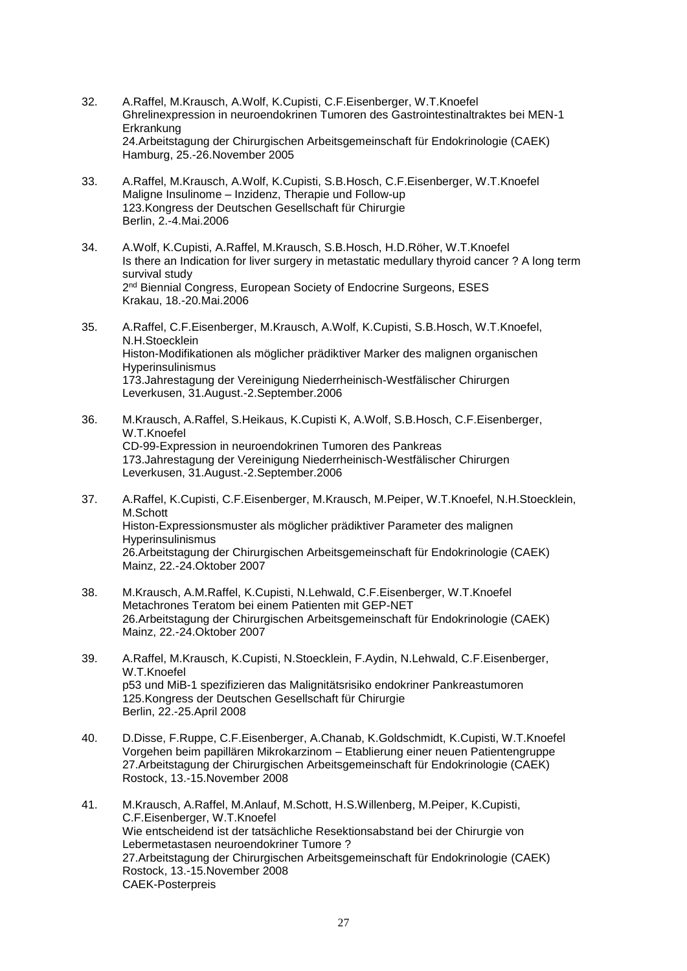- 32. A.Raffel, M.Krausch, A.Wolf, K.Cupisti, C.F.Eisenberger, W.T.Knoefel Ghrelinexpression in neuroendokrinen Tumoren des Gastrointestinaltraktes bei MEN-1 Erkrankung 24.Arbeitstagung der Chirurgischen Arbeitsgemeinschaft für Endokrinologie (CAEK) Hamburg, 25.-26.November 2005
- 33. A.Raffel, M.Krausch, A.Wolf, K.Cupisti, S.B.Hosch, C.F.Eisenberger, W.T.Knoefel Maligne Insulinome – Inzidenz, Therapie und Follow-up 123.Kongress der Deutschen Gesellschaft für Chirurgie Berlin, 2.-4.Mai.2006
- 34. A.Wolf, K.Cupisti, A.Raffel, M.Krausch, S.B.Hosch, H.D.Röher, W.T.Knoefel Is there an Indication for liver surgery in metastatic medullary thyroid cancer ? A long term survival study 2<sup>nd</sup> Biennial Congress, European Society of Endocrine Surgeons, ESES Krakau, 18.-20.Mai.2006
- 35. A.Raffel, C.F.Eisenberger, M.Krausch, A.Wolf, K.Cupisti, S.B.Hosch, W.T.Knoefel, N.H.Stoecklein Histon-Modifikationen als möglicher prädiktiver Marker des malignen organischen **Hyperinsulinismus** 173.Jahrestagung der Vereinigung Niederrheinisch-Westfälischer Chirurgen Leverkusen, 31.August.-2.September.2006
- 36. M.Krausch, A.Raffel, S.Heikaus, K.Cupisti K, A.Wolf, S.B.Hosch, C.F.Eisenberger, W.T.Knoefel CD-99-Expression in neuroendokrinen Tumoren des Pankreas 173.Jahrestagung der Vereinigung Niederrheinisch-Westfälischer Chirurgen Leverkusen, 31.August.-2.September.2006
- 37. A.Raffel, K.Cupisti, C.F.Eisenberger, M.Krausch, M.Peiper, W.T.Knoefel, N.H.Stoecklein, M.Schott Histon-Expressionsmuster als möglicher prädiktiver Parameter des malignen Hyperinsulinismus 26.Arbeitstagung der Chirurgischen Arbeitsgemeinschaft für Endokrinologie (CAEK) Mainz, 22.-24.Oktober 2007
- 38. M.Krausch, A.M.Raffel, K.Cupisti, N.Lehwald, C.F.Eisenberger, W.T.Knoefel Metachrones Teratom bei einem Patienten mit GEP-NET 26.Arbeitstagung der Chirurgischen Arbeitsgemeinschaft für Endokrinologie (CAEK) Mainz, 22.-24.Oktober 2007
- 39. A.Raffel, M.Krausch, K.Cupisti, N.Stoecklein, F.Aydin, N.Lehwald, C.F.Eisenberger, W.T.Knoefel p53 und MiB-1 spezifizieren das Malignitätsrisiko endokriner Pankreastumoren 125.Kongress der Deutschen Gesellschaft für Chirurgie Berlin, 22.-25.April 2008
- 40. D.Disse, F.Ruppe, C.F.Eisenberger, A.Chanab, K.Goldschmidt, K.Cupisti, W.T.Knoefel Vorgehen beim papillären Mikrokarzinom – Etablierung einer neuen Patientengruppe 27.Arbeitstagung der Chirurgischen Arbeitsgemeinschaft für Endokrinologie (CAEK) Rostock, 13.-15.November 2008
- 41. M.Krausch, A.Raffel, M.Anlauf, M.Schott, H.S.Willenberg, M.Peiper, K.Cupisti, C.F.Eisenberger, W.T.Knoefel Wie entscheidend ist der tatsächliche Resektionsabstand bei der Chirurgie von Lebermetastasen neuroendokriner Tumore ? 27.Arbeitstagung der Chirurgischen Arbeitsgemeinschaft für Endokrinologie (CAEK) Rostock, 13.-15.November 2008 CAEK-Posterpreis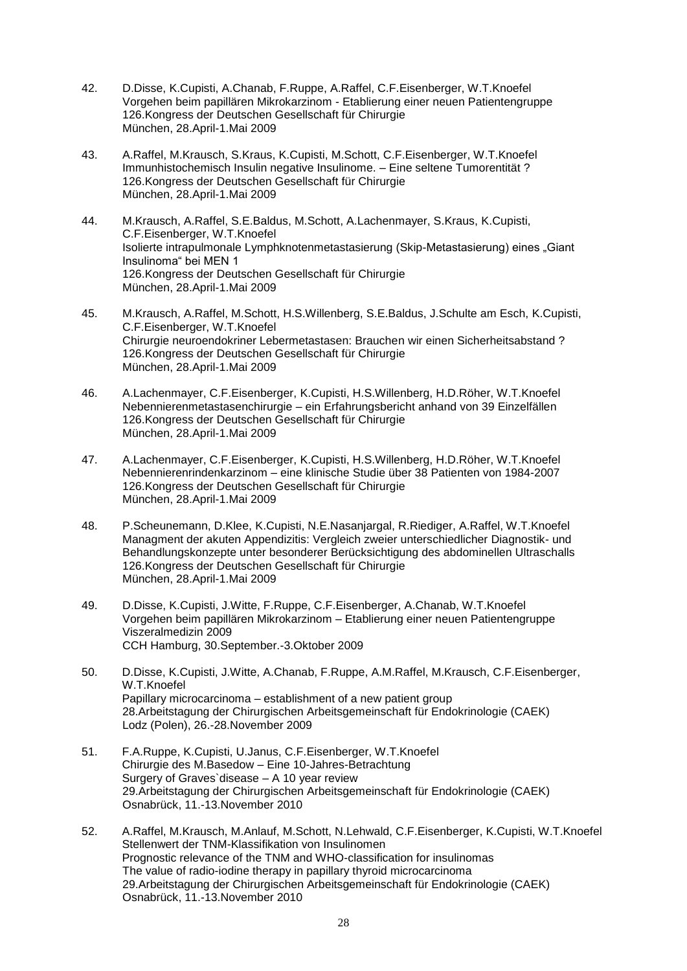- 42. D.Disse, K.Cupisti, A.Chanab, F.Ruppe, A.Raffel, C.F.Eisenberger, W.T.Knoefel Vorgehen beim papillären Mikrokarzinom - Etablierung einer neuen Patientengruppe 126.Kongress der Deutschen Gesellschaft für Chirurgie München, 28.April-1.Mai 2009
- 43. A.Raffel, M.Krausch, S.Kraus, K.Cupisti, M.Schott, C.F.Eisenberger, W.T.Knoefel Immunhistochemisch Insulin negative Insulinome. – Eine seltene Tumorentität ? 126.Kongress der Deutschen Gesellschaft für Chirurgie München, 28.April-1.Mai 2009
- 44. M.Krausch, A.Raffel, S.E.Baldus, M.Schott, A.Lachenmayer, S.Kraus, K.Cupisti, C.F.Eisenberger, W.T.Knoefel Isolierte intrapulmonale Lymphknotenmetastasierung (Skip-Metastasierung) eines "Giant Insulinoma" bei MEN 1 126.Kongress der Deutschen Gesellschaft für Chirurgie München, 28.April-1.Mai 2009
- 45. M.Krausch, A.Raffel, M.Schott, H.S.Willenberg, S.E.Baldus, J.Schulte am Esch, K.Cupisti, C.F.Eisenberger, W.T.Knoefel Chirurgie neuroendokriner Lebermetastasen: Brauchen wir einen Sicherheitsabstand ? 126.Kongress der Deutschen Gesellschaft für Chirurgie München, 28.April-1.Mai 2009
- 46. A.Lachenmayer, C.F.Eisenberger, K.Cupisti, H.S.Willenberg, H.D.Röher, W.T.Knoefel Nebennierenmetastasenchirurgie – ein Erfahrungsbericht anhand von 39 Einzelfällen 126.Kongress der Deutschen Gesellschaft für Chirurgie München, 28.April-1.Mai 2009
- 47. A.Lachenmayer, C.F.Eisenberger, K.Cupisti, H.S.Willenberg, H.D.Röher, W.T.Knoefel Nebennierenrindenkarzinom – eine klinische Studie über 38 Patienten von 1984-2007 126.Kongress der Deutschen Gesellschaft für Chirurgie München, 28.April-1.Mai 2009
- 48. P.Scheunemann, D.Klee, K.Cupisti, N.E.Nasanjargal, R.Riediger, A.Raffel, W.T.Knoefel Managment der akuten Appendizitis: Vergleich zweier unterschiedlicher Diagnostik- und Behandlungskonzepte unter besonderer Berücksichtigung des abdominellen Ultraschalls 126.Kongress der Deutschen Gesellschaft für Chirurgie München, 28.April-1.Mai 2009
- 49. D.Disse, K.Cupisti, J.Witte, F.Ruppe, C.F.Eisenberger, A.Chanab, W.T.Knoefel Vorgehen beim papillären Mikrokarzinom – Etablierung einer neuen Patientengruppe Viszeralmedizin 2009 CCH Hamburg, 30.September.-3.Oktober 2009
- 50. D.Disse, K.Cupisti, J.Witte, A.Chanab, F.Ruppe, A.M.Raffel, M.Krausch, C.F.Eisenberger, W.T.Knoefel Papillary microcarcinoma – establishment of a new patient group 28.Arbeitstagung der Chirurgischen Arbeitsgemeinschaft für Endokrinologie (CAEK) Lodz (Polen), 26.-28.November 2009
- 51. F.A.Ruppe, K.Cupisti, U.Janus, C.F.Eisenberger, W.T.Knoefel Chirurgie des M.Basedow – Eine 10-Jahres-Betrachtung Surgery of Graves`disease – A 10 year review 29.Arbeitstagung der Chirurgischen Arbeitsgemeinschaft für Endokrinologie (CAEK) Osnabrück, 11.-13.November 2010
- 52. A.Raffel, M.Krausch, M.Anlauf, M.Schott, N.Lehwald, C.F.Eisenberger, K.Cupisti, W.T.Knoefel Stellenwert der TNM-Klassifikation von Insulinomen Prognostic relevance of the TNM and WHO-classification for insulinomas The value of radio-iodine therapy in papillary thyroid microcarcinoma 29.Arbeitstagung der Chirurgischen Arbeitsgemeinschaft für Endokrinologie (CAEK) Osnabrück, 11.-13.November 2010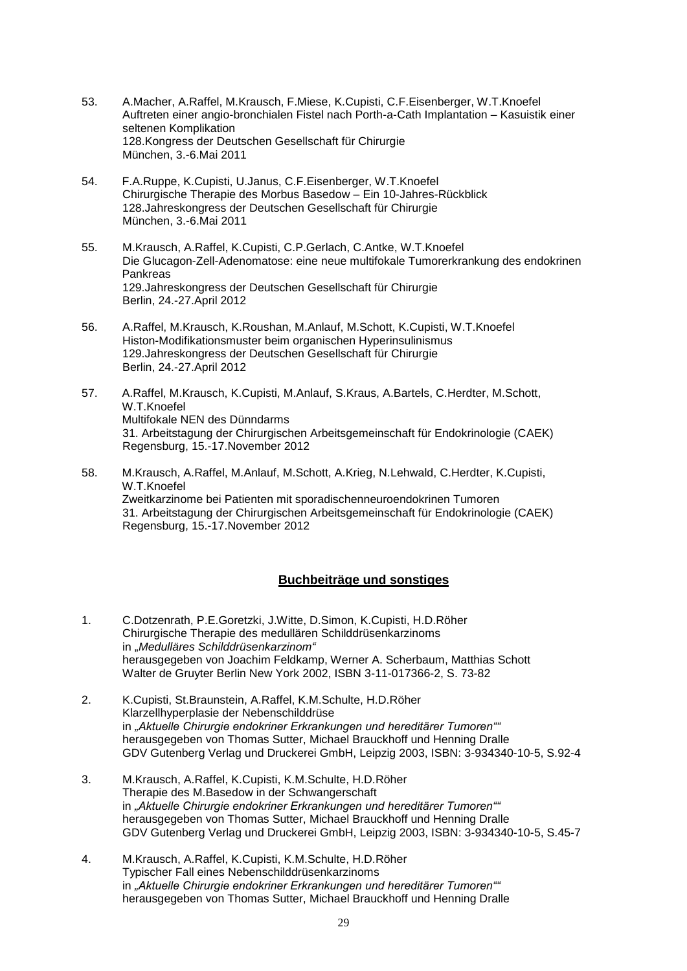- 53. A.Macher, A.Raffel, M.Krausch, F.Miese, K.Cupisti, C.F.Eisenberger, W.T.Knoefel Auftreten einer angio-bronchialen Fistel nach Porth-a-Cath Implantation – Kasuistik einer seltenen Komplikation 128.Kongress der Deutschen Gesellschaft für Chirurgie München, 3.-6.Mai 2011
- 54. F.A.Ruppe, K.Cupisti, U.Janus, C.F.Eisenberger, W.T.Knoefel Chirurgische Therapie des Morbus Basedow – Ein 10-Jahres-Rückblick 128.Jahreskongress der Deutschen Gesellschaft für Chirurgie München, 3.-6.Mai 2011
- 55. M.Krausch, A.Raffel, K.Cupisti, C.P.Gerlach, C.Antke, W.T.Knoefel Die Glucagon-Zell-Adenomatose: eine neue multifokale Tumorerkrankung des endokrinen Pankreas 129.Jahreskongress der Deutschen Gesellschaft für Chirurgie Berlin, 24.-27.April 2012
- 56. A.Raffel, M.Krausch, K.Roushan, M.Anlauf, M.Schott, K.Cupisti, W.T.Knoefel Histon-Modifikationsmuster beim organischen Hyperinsulinismus 129.Jahreskongress der Deutschen Gesellschaft für Chirurgie Berlin, 24.-27.April 2012
- 57. A.Raffel, M.Krausch, K.Cupisti, M.Anlauf, S.Kraus, A.Bartels, C.Herdter, M.Schott, W.T.Knoefel Multifokale NEN des Dünndarms 31. Arbeitstagung der Chirurgischen Arbeitsgemeinschaft für Endokrinologie (CAEK) Regensburg, 15.-17.November 2012
- 58. M.Krausch, A.Raffel, M.Anlauf, M.Schott, A.Krieg, N.Lehwald, C.Herdter, K.Cupisti, W.T.Knoefel Zweitkarzinome bei Patienten mit sporadischenneuroendokrinen Tumoren 31. Arbeitstagung der Chirurgischen Arbeitsgemeinschaft für Endokrinologie (CAEK) Regensburg, 15.-17.November 2012

#### **Buchbeiträge und sonstiges**

- 1. C.Dotzenrath, P.E.Goretzki, J.Witte, D.Simon, K.Cupisti, H.D.Röher Chirurgische Therapie des medullären Schilddrüsenkarzinoms in "*Medulläres Schilddrüsenkarzinom"* herausgegeben von Joachim Feldkamp, Werner A. Scherbaum, Matthias Schott Walter de Gruyter Berlin New York 2002, ISBN 3-11-017366-2, S. 73-82
- 2. K.Cupisti, St.Braunstein, A.Raffel, K.M.Schulte, H.D.Röher Klarzellhyperplasie der Nebenschilddrüse in *"Aktuelle Chirurgie endokriner Erkrankungen und hereditärer Tumoren""* herausgegeben von Thomas Sutter, Michael Brauckhoff und Henning Dralle GDV Gutenberg Verlag und Druckerei GmbH, Leipzig 2003, ISBN: 3-934340-10-5, S.92-4
- 3. M.Krausch, A.Raffel, K.Cupisti, K.M.Schulte, H.D.Röher Therapie des M.Basedow in der Schwangerschaft in *"Aktuelle Chirurgie endokriner Erkrankungen und hereditärer Tumoren""* herausgegeben von Thomas Sutter, Michael Brauckhoff und Henning Dralle GDV Gutenberg Verlag und Druckerei GmbH, Leipzig 2003, ISBN: 3-934340-10-5, S.45-7
- 4. M.Krausch, A.Raffel, K.Cupisti, K.M.Schulte, H.D.Röher Typischer Fall eines Nebenschilddrüsenkarzinoms in *"Aktuelle Chirurgie endokriner Erkrankungen und hereditärer Tumoren""* herausgegeben von Thomas Sutter, Michael Brauckhoff und Henning Dralle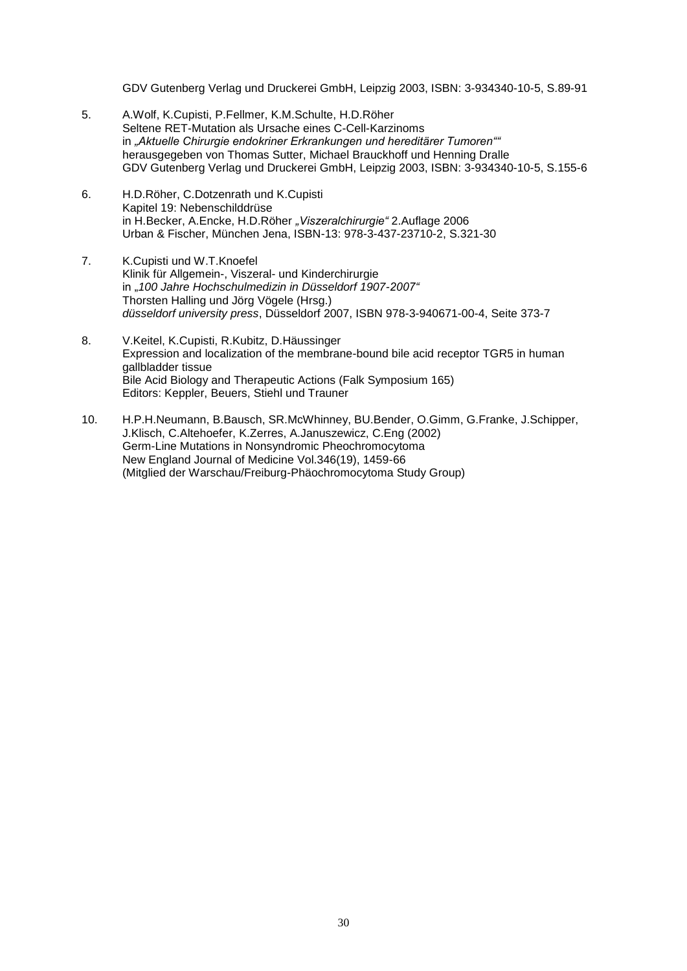GDV Gutenberg Verlag und Druckerei GmbH, Leipzig 2003, ISBN: 3-934340-10-5, S.89-91

- 5. A.Wolf, K.Cupisti, P.Fellmer, K.M.Schulte, H.D.Röher Seltene RET-Mutation als Ursache eines C-Cell-Karzinoms in *"Aktuelle Chirurgie endokriner Erkrankungen und hereditärer Tumoren""* herausgegeben von Thomas Sutter, Michael Brauckhoff und Henning Dralle GDV Gutenberg Verlag und Druckerei GmbH, Leipzig 2003, ISBN: 3-934340-10-5, S.155-6
- 6. H.D.Röher, C.Dotzenrath und K.Cupisti Kapitel 19: Nebenschilddrüse in H.Becker, A.Encke, H.D.Röher *"Viszeralchirurgie"* 2.Auflage 2006 Urban & Fischer, München Jena, ISBN-13: 978-3-437-23710-2, S.321-30
- 7. K.Cupisti und W.T.Knoefel Klinik für Allgemein-, Viszeral- und Kinderchirurgie in "*100 Jahre Hochschulmedizin in Düsseldorf 1907-2007"* Thorsten Halling und Jörg Vögele (Hrsg.) *düsseldorf university press*, Düsseldorf 2007, ISBN 978-3-940671-00-4, Seite 373-7
- 8. V.Keitel, K.Cupisti, R.Kubitz, D.Häussinger Expression and localization of the membrane-bound bile acid receptor TGR5 in human gallbladder tissue Bile Acid Biology and Therapeutic Actions (Falk Symposium 165) Editors: Keppler, Beuers, Stiehl und Trauner
- 10. H.P.H.Neumann, B.Bausch, SR.McWhinney, BU.Bender, O.Gimm, G.Franke, J.Schipper, J.Klisch, C.Altehoefer, K.Zerres, A.Januszewicz, C.Eng (2002) Germ-Line Mutations in Nonsyndromic Pheochromocytoma New England Journal of Medicine Vol.346(19), 1459-66 (Mitglied der Warschau/Freiburg-Phäochromocytoma Study Group)